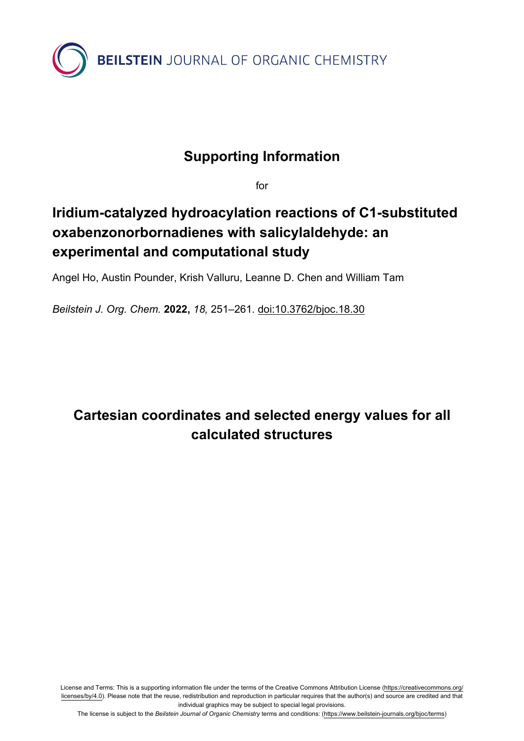

# **Supporting Information**

for

# **Iridium-catalyzed hydroacylation reactions of C1-substituted oxabenzonorbornadienes with salicylaldehyde: an experimental and computational study**

Angel Ho, Austin Pounder, Krish Valluru, Leanne D. Chen and William Tam

*Beilstein J. Org. Chem.* **2022,** *18,* 251–261. [doi:10.3762/bjoc.18.30](https://doi.org/10.3762%2Fbjoc.18.30)

# **Cartesian coordinates and selected energy values for all calculated structures**

License and Terms: This is a supporting information file under the terms of the Creative Commons Attribution License [\(https://creativecommons.org/](https://creativecommons.org/licenses/by/4.0) [licenses/by/4.0\)](https://creativecommons.org/licenses/by/4.0). Please note that the reuse, redistribution and reproduction in particular requires that the author(s) and source are credited and that individual graphics may be subject to special legal provisions.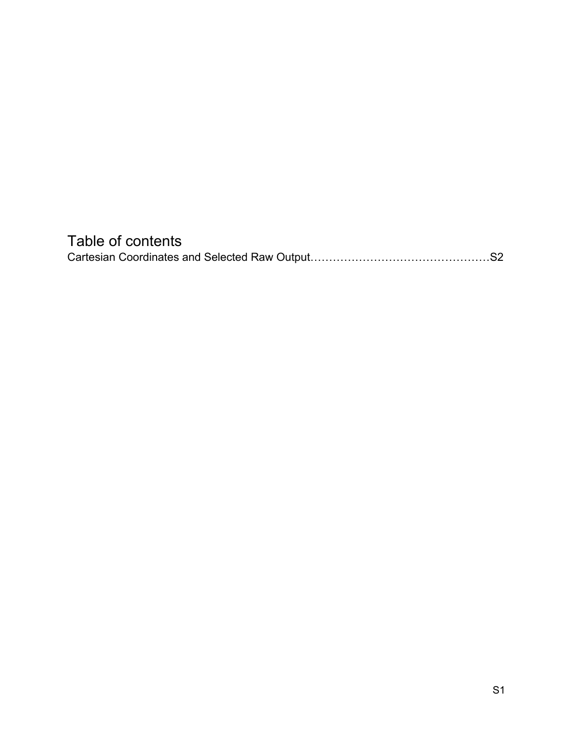# Table of contents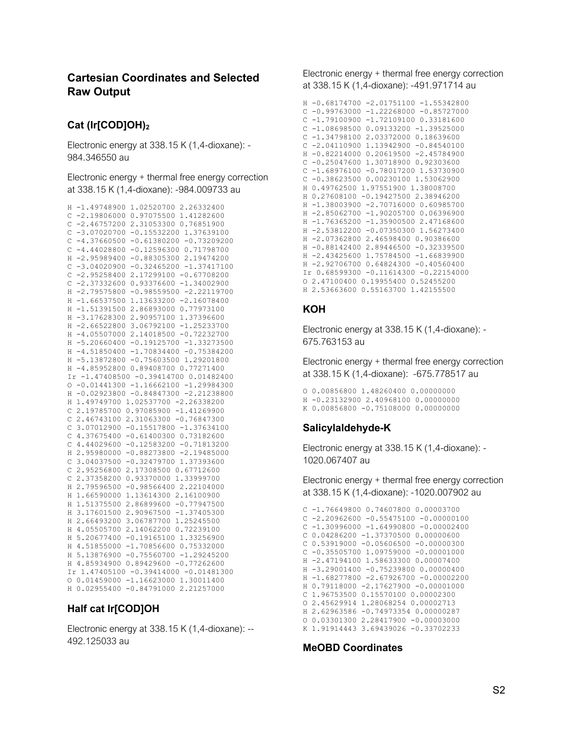# **Cartesian Coordinates and Selected Raw Output**

# **Cat (Ir[COD]OH)<sup>2</sup>**

Electronic energy at 338.15 K (1,4-dioxane): - 984.346550 au

at 338.15 K (1,4-dioxane): -984.009733 au

```
H -1.49748900 1.02520700 2.26332400
C -2.19806000 0.97075500 1.41282600
C -2.46757200 2.31053300 0.76851900
C -3.07020700 -0.15532200 1.37639100
C -4.37660500 -0.61380200 -0.73209200
C -4.44028800 -0.12596300 0.71798700
H -2.95989400 -0.88305300 2.19474200
C -3.04020900 -0.32465200 -1.37417100
C -2.95258400 2.17299100 -0.67708200
C -2.37332600 0.93376600 -1.34002900
H -2.79575800 -0.98559500 -2.22119700
H -1.66537500 1.13633200 -2.16078400
H -1.51391500 2.86893000 0.77973100
H -3.17628300 2.90957100 1.37396600
H -2.66522800 3.06792100 -1.25233700
H -4.05507000 2.14018500 -0.72232700
H -5.20660400 -0.19125700 -1.33273500
H -4.51850400 -1.70834400 -0.75384200
H -5.13872800 -0.75603500 1.29201800
H -4.85952800 0.89408700 0.77271400
Ir -1.47408500 -0.39414700 0.01482400
0 -0.01441300 -1.16662100 -1.29984300H -0.02923800 -0.84847300 -2.21238800
H 1.49749700 1.02537700 -2.26338200
C 2.19785700 0.97085900 -1.41269900
C 2.46743100 2.31063300 -0.76847300
C 3.07012900 -0.15517800 -1.37634100
C 4.37675400 -0.61400300 0.73182600
C 4.44029600 -0.12583200 -0.71813200
H 2.95980000 -0.88273800 -2.19485000
C 3.04037500 -0.32479700 1.37393600
C 2.95256800 2.17308500 0.67712600
C 2.37358200 0.93370000 1.33999700
H 2.79596500 -0.98566400 2.22104000
H 1.66590000 1.13614300 2.16100900
H 1.51375500 2.86899600 -0.77947500
H 3.17601500 2.90967500 -1.37405300
H 2.66493200 3.06787700 1.25245500
H 4.05505700 2.14062200 0.72239100
H 5.20677400 -0.19165100 1.33256900
H 4.51855000 -1.70856600 0.75332000
H 5.13876900 -0.75560700 -1.29245200
H 4.85934900 0.89429600 -0.77262600
Ir 1.47405100 -0.39414000 -0.01481300
O 0.01459000 -1.16623000 1.30011400
H 0.02955400 -0.84791000 2.21257000
```
# **Half cat Ir[COD]OH**

Electronic energy at 338.15 K (1,4-dioxane): -- 492.125033 au

Electronic energy + thermal free energy correction at 338.15 K (1,4-dioxane): -491.971714 au

```
c -1.68976100 -0.78017200 1.53730900<br>C -0.38623500 0.00230100 1.53062900 Electronic energy correction
                                                     H -0.68174700 -2.01751100 -1.55342800
                                                     C -0.99763000 -1.22268000 -0.85727000
                                                    C -1.79100900 -1.72109100 0.33181600
                                                    C -1.08698500 0.09133200 -1.39525000
                                                    C -1.34798100 2.03372000 0.18639600
                                                   C -2.04110900 1.13942900 -0.84540100
                                                    H -0.82214000 0.20619500 -2.45784900
                                                    C -0.25047600 1.30718900 0.92303600
                                                     C -0.38623500 0.00230100 1.53062900
                                                     H 0.49762500 1.97551900 1.38008700
                                                   H 0.27608100 -0.19427500 2.38946200
                                                   H -1.38003900 -2.70716000 0.60985700
                                                     H -2.85062700 -1.90205700 0.06396900
                                                     H -1.76365200 -1.35900500 2.47168600
                                                     H -2.53812200 -0.07350300 1.56273400
                                                     H -2.07362800 2.46598400 0.90386600
                                                     H -0.88142400 2.89446500 -0.32339500
                                                     H -2.43425600 1.75784500 -1.66839900
                                                     H -2.92706700 0.64824300 -0.40560400
                                                     Ir 0.68599300 -0.11614300 -0.22154000
                                                     O 2.47100400 0.19955400 0.52455200
                                                   H 2.53663600 0.55163700 1.42155500
```
# **KOH**

Electronic energy at 338.15 K (1,4-dioxane): - 675.763153 au

Electronic energy + thermal free energy correction at 338.15 K (1,4-dioxane): -675.778517 au

O 0.00856800 1.48260400 0.00000000 H -0.23132900 2.40968100 0.00000000 K 0.00856800 -0.75108000 0.00000000

# **Salicylaldehyde-K**

Electronic energy at 338.15 K (1,4-dioxane): - 1020.067407 au

Electronic energy + thermal free energy correction at 338.15 K (1,4-dioxane): -1020.007902 au

```
C -1.76649800 0.74607800 0.00003700
        C -2.20962600 -0.55475100 -0.00000100
        C -1.30996000 -1.64990800 -0.00002400
        C 0.04286200 -1.37370500 0.00000600
        C 0.53919000 -0.05606500 -0.00000300
        C -0.35505700 1.09759000 -0.00001000
        H -2.47194100 1.58633300 0.00007400
        H -3.29001400 -0.75239800 0.00000400
        H -1.68277800 -2.67926700 -0.00002200
        H 0.79118000 -2.17627900 -0.00001000
     C 1.96753500 0.15570100 0.00002300
        O 2.45629914 1.28068254 0.00002713
        H 2.62963586 -0.74973354 0.00000287
       O 0.03301300 2.28417900 -0.00003000
K 1.91914443 3.69439026 -0.33702233
```
# **MeOBD Coordinates**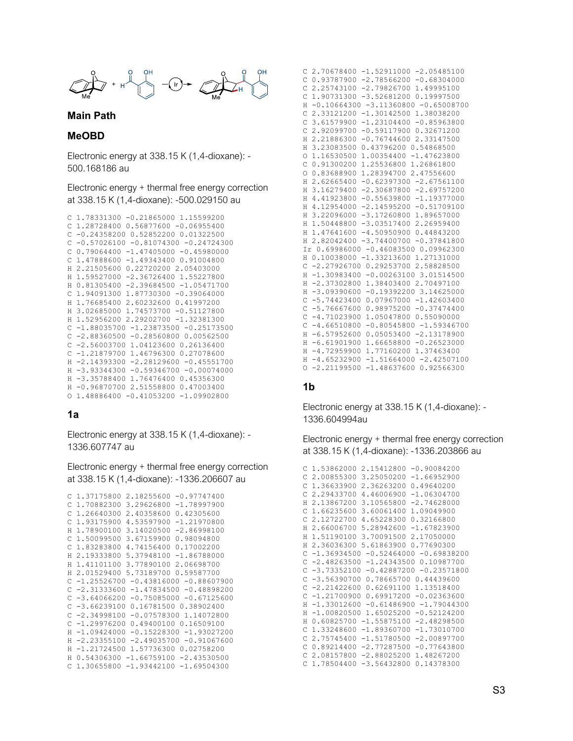

#### **Main Path**

### **MeOBD**

Electronic energy at 338.15 K (1,4-dioxane): - 500.168186 au

Electronic energy + thermal free energy correction at 338.15 K (1,4-dioxane): -500.029150 au

```
C 1.78331300 -0.21865000 1.15599200
C 1.28728400 0.56877600 -0.06955400
C -0.24358200 0.52852200 0.01322500
C -0.57026100 -0.81074300 -0.24724300C 0.79064400 -1.47405000 -0.45980000
C 1.47888600 -1.49343400 0.91004800
H 2.21505600 0.22720200 2.05403000
H 1.59527000 -2.36726400 1.55227800
H 0.81305400 -2.39684500 -1.05471700
C 1.94091300 1.87730300 -0.39064000
H 1.76685400 2.60232600 0.41997200
H 3.02685000 1.74573700 -0.51127800
H 1.52956200 2.29202700 -1.32381300
C -1.88035700 -1.23873500 -0.25173500
C -2.88360500 -0.28560800 0.00562500C -2.56003700 1.04123600 0.26136400
C -1.21879700 1.46796300 0.27078600
H -2.14393300 -2.28129600 -0.45551700
H -3.93344300 -0.59346700 -0.00074000
H -3.35788400 1.76476400 0.45356300
H -0.96870700 2.51558800 0.47003400
O 1.48886400 -0.41053200 -1.09902800
```
#### **1a**

Electronic energy at 338.15 K (1,4-dioxane): - 1336.607747 au

Electronic energy + thermal free energy correction at 338.15 K (1,4-dioxane): -1336.206607 au

```
C 1.37175800 2.18255600 -0.97747400
C 1.70882300 3.29626800 -1.78997900
C 1.26640300 2.40358600 0.42305600
C 1.93175900 4.53597900 -1.21970800
H 1.78900100 3.14020500 -2.86998100
C 1.50099500 3.67159900 0.98094800
C 1.83283800 4.74156400 0.17002200
H 2.19333800 5.37948100 -1.86788000
H 1.41101100 3.77890100 2.06698700
H 2.01529400 5.73189700 0.59587700
C -1.25526700 -0.43816000 -0.88607900
C -2.31333600 -1.47834500 -0.48898200
C -3.64066200 -0.75085000 -0.67125600
C -3.66239100 0.16781500 0.38902400
C -2.34998100 -0.07578300 1.14072800
C -1.29976200 0.49400100 0.16509100
H -1.09424000 -0.15228300 -1.93027200
H -2.23355100 -2.49035700 -0.91067600
H -1.21724500 1.57736300 0.02758200
H 0.54306300 -1.66759100 -2.43530500
C 1.30655800 -1.93442100 -1.69504300
```

| 2.70678400 -1.52911000 -2.05485100<br>C                    |
|------------------------------------------------------------|
| Ċ<br>$0.93787900 -2.78566200 -0.68304000$                  |
| C<br>2.25743100 -2.79826700 1.49995100                     |
| Ċ<br>$-3.5268120000.19997500$<br>1.90731300                |
| $-0.10664300 -3.11360800 -0.65008700$<br>Н                 |
| Ċ<br>$-1.30142500$ 1.38038200<br>2.33121200                |
| Ċ<br>$-1.23104400 - 0.85963800$<br>3.61579900              |
| $-0.59117900 0.32671200$<br>$\overline{C}$<br>2.92099700   |
| 2.21886300 -0.76744600 2.33147500<br>Н                     |
| 0.43796200 0.54868500<br>H<br>3.23083500                   |
| 1.00354400 -1.47623800<br>1.16530500<br>$\circ$            |
| 0.91300200<br>1.25536800 1.26861800<br>C                   |
| 1.28394700 2.47556600<br>$\circ$<br>0.83688900             |
| $-0.62397300 -2.67561100$<br>H<br>2.62665400               |
| $-2.30687800 -2.69757200$<br>H<br>3.16279400               |
| H<br>4.41923800<br>$-0.55639800 -1.19377000$               |
| 4.12954000 -2.14595200 -0.51709100<br>H                    |
| 3.22096000 -3.17260800 1.89657000<br>H                     |
| 1.50448800 -3.03517400 2.26959400<br>H                     |
| $-4.5095090000.44843200$<br>1.47641600<br>H                |
| 2.82042400 -3.74400700 -0.37841800<br>H                    |
| Ir 0.69986000 -0.46083500 0.09962300                       |
| 0.10038000 -1.33213600 1.27131000<br>Н                     |
| Ċ<br>-2.27926700 0.29253700 2.58828500                     |
| $-1.30983400 -0.00263100 3.01514500$<br>H                  |
| 1.38403400 2.70497100<br>H<br>$-2.37302800$                |
| $-0.19392200$ 3.14625000<br>$-3.09390600$<br>H             |
| Ċ<br>$-5.74423400$<br>$0.07967000 - 1.42603400$            |
| $-5.76667600$<br>$0.98975200 - 0.37474400$<br>C            |
| $-4.71023900$<br>1.05047800 0.55090000<br>Ċ                |
| $-0.80545800 -1.59346700$<br>$\mathsf{C}$<br>$-4.66510800$ |
| $0.05053400 - 2.13178900$<br>$-6.57952600$<br>H            |
| $-6.61901900$<br>1.66658800 -0.26523000<br>H               |
| $-4.72959900$<br>1.77160200 1.37463400<br>Н                |
| $-4.65232900$<br>$-1.51664000 -2.42507100$<br>H            |
| $-2.21199500$<br>$-1.486376000.92566300$<br>$\circ$        |

## **1b**

Electronic energy at 338.15 K (1,4-dioxane): - 1336.604994au

Electronic energy + thermal free energy correction at 338.15 K (1,4-dioxane): -1336.203866 au

```
C 1.53862000 2.15412800 -0.90084200
 C 2.00855300 3.25050200 -1.66952900
C 1.36633900 2.36263200 0.49640200
 C 2.29433700 4.46006900 -1.06304700
H 2.13867200 3.10565800 -2.74628000
C 1.66235600 3.60061400 1.09049900
C 2.12722700 4.65228300 0.32166800
H 2.66006700 5.28942600 -1.67823900
H 1.51190100 3.70091500 2.17050000
H 2.36036300 5.61863900 0.77690300
C -1.36934500 -0.52464000 -0.69838200
C -2.48263500 -1.24343500 0.10987700
C -3.73352100 -0.42887200 -0.23571800
C -3.56390700 0.78665700 0.44439600
C -2.21422600 0.62691100 1.13518400
C -1.21700900 0.69917200 -0.02363600
H -1.33012600 -0.61486900 -1.79044300
H -1.00820500 1.65025200 -0.52124200
H 0.60825700 -1.55875100 -2.48298500
C 1.33248600 -1.89360700 -1.73010700
C 2.75745400 -1.51780500 -2.00897700
C 0.89214400 -2.77287500 -0.77643800
C 2.08157800 -2.88025200 1.48267200
C 1.78504400 -3.56432800 0.14378300
```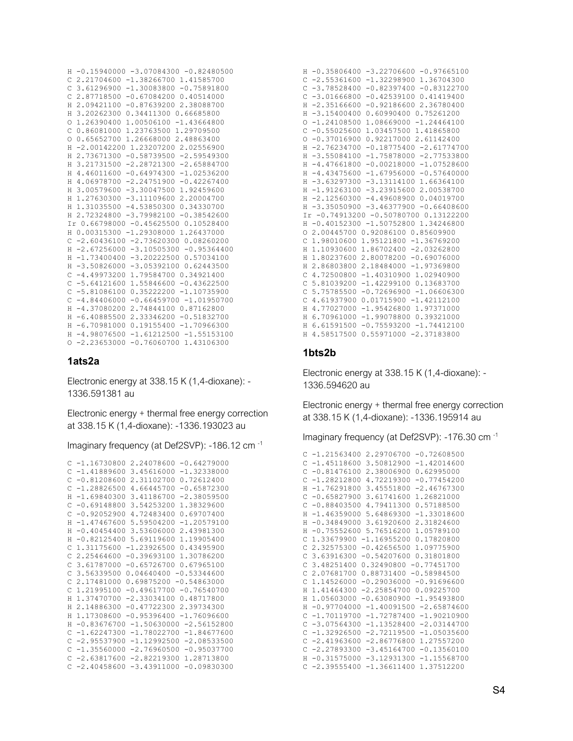```
H -0.15940000 -3.07084300 -0.82480500
C 2.21704600 -1.38266700 1.41585700
C 3.61296900 -1.30083800 -0.75891800
C 2.87718500 -0.67084200 0.40514000
H 2.09421100 -0.87639200 2.38088700
H 3.20262300 0.34411300 0.66685800
O 1.26390400 1.00506100 -1.43664800
C 0.86081000 1.23763500 1.29709500
O 0.65652700 1.26668000 2.48863400
H -2.00142200 1.23207200 2.02556900
H 2.73671300 -0.58739500 -2.59549300
H 3.21731500 -2.28721300 -2.65884700
H 4.46011600 -0.64974300 -1.02536200
H 4.06978700 -2.24751900 -0.42267400
H 3.00579600 -3.30047500 1.92459600
H 1.27630300 -3.11109600 2.20004700
H 1.31035500 -4.53850300 0.34330700
H 2.72324800 -3.79982100 -0.38542600
Ir 0.66798000 -0.45625500 0.10528400
H 0.00315300 -1.29308000 1.26437000
C -2.60436100 -2.73620300 0.08260200
H -2.67256000 -3.10505300 -0.95364400
H -1.73400400 -3.20222500 0.57034100
H -3.50826000 -3.05392100 0.62443500
C -4.49973200 1.79584700 0.34921400
C -5.64121600 1.55846600 -0.43622500
C -5.81086100 0.35222200 -1.10735900
C -4.84406000 -0.66459700 -1.01950700H -4.37080200 2.74844100 0.87162800
H -6.40885500 2.33346200 -0.51832700
H -6.70981000 0.19155400 -1.70966300
H -4.98076500 -1.61212500 -1.55153100
O -2.23653000 -0.76060700 1.43106300
```
### **1ats2a**

Electronic energy at 338.15 K (1,4-dioxane): - 1336.591381 au

Electronic energy + thermal free energy correction at 338.15 K (1,4-dioxane): -1336.193023 au

Imaginary frequency (at Def2SVP): -186.12 cm -1

```
C -1.16730800 2.24078600 -0.64279000
C -1.41889600 3.45616000 -1.32338000
C -0.81208600 2.31102700 0.72612400
C -1.28826500 4.66445700 -0.65872300
H -1.69840300 3.41186700 -2.38059500
C -0.69148800 3.54253200 1.38329600
C -0.92052900 4.72483400 0.69707400
H -1.47467600 5.59504200 -1.20579100
H -0.40454400 3.53606000 2.43981300
H -0.82125400 5.69119600 1.19905400
C 1.31175600 -1.23926500 0.43495900
C 2.25464600 -0.39693100 1.30786200
C 3.61787000 -0.65726700 0.67965100
 C 3.56339500 0.04640400 -0.53344600
C 2.17481000 0.69875200 -0.54863000
C 1.21995100 -0.49617700 -0.76540700
H 1.37470700 -2.33034100 0.48717800
H 2.14886300 -0.47722300 2.39734300
H 1.17308600 -0.95396400 -1.76096600
H -0.83676700 -1.50630000 -2.56152800
C -1.62247300 -1.78022700 -1.84677600
C = 2.95537900 - 1.12992500 - 2.08533500C -1.35560000 -2.76960500 -0.95037700
C -2.63817600 -2.82219300 1.28713800
C -2.40458600 -3.43911000 -0.09830300
```

|              |               | H -0.35806400 -3.22706600 -0.97665100      |
|--------------|---------------|--------------------------------------------|
|              |               |                                            |
| $\mathsf{C}$ |               | $-2.55361600 -1.32298900 1.36704300$       |
| C            |               | $-3.78528400 -0.82397400$<br>$-0.83122700$ |
| C            | $-3.01666800$ | $-0.42539100$<br>0.41419400                |
| H            | $-2.35166600$ | $-0.92186600$<br>2.36780400                |
| H            | $-3.15400400$ | 0.60990400 0.75261200                      |
| $\circ$      |               | $-1.24108500$ 1.08669000 $-1.24464100$     |
| $\mathsf{C}$ |               | $-0.55025600$ 1.03457500 1.41865800        |
| $\Omega$     | $-0.37016900$ | 0.92217000 2.61142400                      |
| H            | $-2.76234700$ | $-0.18775400 -2.61774700$                  |
| H            | $-3.55084100$ | $-1.75878000 -2.77533800$                  |
| H            | $-4.47661800$ | $-0.00218000$<br>$-1.07528600$             |
| H            |               | $-4.43475600 -1.67956000 -0.57640000$      |
| H            |               | $-3.63297300 -3.13114100 1.66364100$       |
| H            |               | $-1.91263100 -3.23915600 2.00538700$       |
| H            |               |                                            |
|              |               | $-2.12560300 - 4.49608900 0.04019700$      |
| H.           |               | $-3.35050900 - 3.46377900 - 0.66408600$    |
|              |               | Ir -0.74913200 -0.50780700 0.13122200      |
| H            |               | $-0.40152300 -1.50752800 1.34246800$       |
| $\circ$      |               | 2.00445700 0.92086100 0.85609900           |
| C            |               | 1.98010600 1.95121800 -1.36769200          |
| H            |               | 1.10930600 1.86702400 -2.03262800          |
| H            |               | 1.80237600 2.80078200 -0.69076000          |
| H            |               | 2.86803800 2.18484000 -1.97369800          |
| C            |               | 4.72500800 -1.40310900 1.02940900          |
| C            |               | 5.81039200 -1.42299100 0.13683700          |
| $\mathsf{C}$ | 5.75785500    | $-0.72696900 -1.06606300$                  |
| C            | 4.61937900    | $0.01715900 - 1.42112100$                  |
| H            |               | 4.77027000 -1.95426800 1.97371000          |
| H            | 6.70961000    | $-1.99078800 0.39321000$                   |
|              |               |                                            |
| H            | 6.61591500    | $-0.75593200 -1.74412100$                  |
| H            | 4.58517500    | $0.55971000 - 2.37183800$                  |

## **1bts2b**

Electronic energy at 338.15 K (1,4-dioxane): - 1336.594620 au

Electronic energy + thermal free energy correction at 338.15 K (1,4-dioxane): -1336.195914 au

Imaginary frequency (at Def2SVP): -176.30 cm -1

|    | $C - 1.21563400$<br>2,29706700<br>$-0.72608500$ |  |
|----|-------------------------------------------------|--|
| С  | $-1.45118600$<br>3.50812900<br>$-1.42014600$    |  |
| C  | 2.38006900<br>0.62995000<br>$-0.81476100$       |  |
| C  | $-0.77454200$<br>$-1.28212800$<br>4.72219300    |  |
| H  | $-1.76291800$<br>3.45551800<br>$-2.46767300$    |  |
| C  | $-0.65827900$<br>3.61741600<br>1.26821000       |  |
| C  | $-0.88403500$<br>4.79411300<br>0.57188500       |  |
| H  | $-1.46359000$<br>5.64869300<br>$-1.33018600$    |  |
| H  | $-0.34849000$<br>3.61920600<br>2.31824600       |  |
| H  | $-0.75552600$<br>5.76516200<br>1.05789100       |  |
| С  | 1.33679900<br>$-1.16955200$<br>0.17820800       |  |
| C  | 2.32575300<br>1.09775900<br>$-0.42656500$       |  |
| C  | 3.63916300<br>$-0.54207600$<br>0.31801800       |  |
| C  | 3.48251400<br>0.32490800<br>$-0.77451700$       |  |
| C  | 2.07681700<br>0.88731400<br>$-0.58984500$       |  |
| Ċ  | 1.14526000<br>$-0.29036000 - 0.91696600$        |  |
| H  | 1.41464300<br>$-2, 25854700 0.09225700$         |  |
| H. | 1.05603000<br>$-0.63080900 -1.95493800$         |  |
| H  | $-0.97704000$<br>$-1.40091500 -2.65874600$      |  |
| C  | $-1.70119700$<br>$-1.90210900$<br>$-1.72787400$ |  |
| C  | $-2.03144700$<br>$-3.07564300$<br>$-1.13528400$ |  |
| C  | $-2.72119500$<br>$-1.05035600$<br>$-1.32926500$ |  |
| C  | $-2.41963600$<br>$-2.86776800$<br>1.27557200    |  |
| Ċ  | $-2.27893300$<br>$-0.13560100$<br>$-3.45164700$ |  |
| H  | $-0.31575000$<br>$-3.12931300$<br>$-1.15568700$ |  |
|    | $C -2.39555400$<br>1.37512200<br>$-1.36611400$  |  |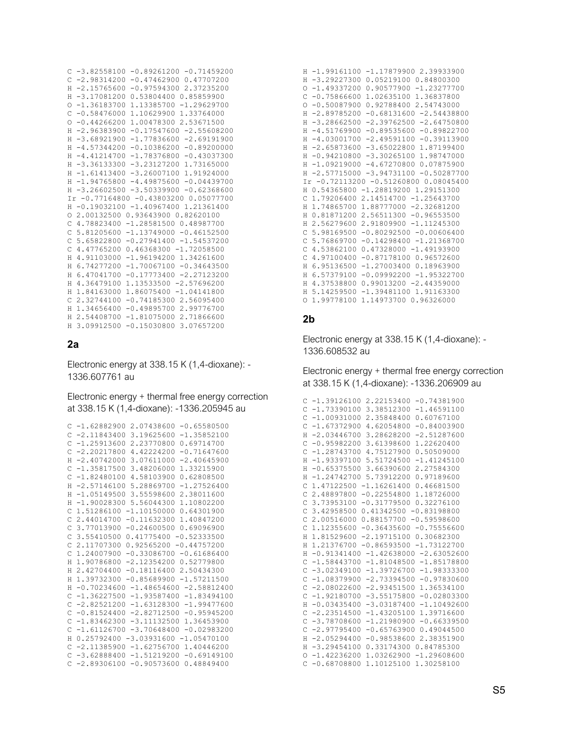|               |               | $C - 3.82558100 - 0.89261200 - 0.71459200$ |
|---------------|---------------|--------------------------------------------|
| $\mathsf{C}$  |               | $-2.98314200 -0.47462900 0.47707200$       |
| H             | $-2.15765600$ | $-0.975943002.37235200$                    |
| Н             | $-3.17081200$ | 0.53804400<br>0.85859900                   |
| $\circ$       | $-1.36183700$ | 1.13385700 -1.29629700                     |
| C             | $-0.58476000$ | 1.10629900 1.33764000                      |
| $\circ$       | $-0.44266200$ | 1.00478300 2.53671500                      |
| Η             | $-2.96383900$ | $-0.17547600 -2.55608200$                  |
| H             | $-3.68921900$ | $-1.77836600$<br>$-2.69191900$             |
| H             | $-4.57344200$ | $-0.89200000$<br>$-0.10386200$             |
| H             | $-4.41214700$ | $-1.78376800$<br>$-0.43037300$             |
| H             | $-3.36133300$ | $-3.23127200$ 1.73165000                   |
| Н             | $-1.61413400$ | $-3.26007100$ 1.91924000                   |
| H             | $-1.94765800$ | $-4.49875600 -0.04439700$                  |
| Н             |               | $-3.26602500 -3.50339900 -0.62368600$      |
|               |               | Ir -0.77164800 -0.43803200 0.05077700      |
| H             |               | $-0.19032100 -1.40967400 1.21361400$       |
| $\circ$       | 2.00132500    | 0.93643900 0.82620100                      |
| $\mathcal{C}$ |               | 4.78823400 -1.28581500 0.48987700          |
| C             |               | 5.81205600 -1.13749000 -0.46152500         |
| $\mathsf{C}$  |               | 5.65822800 -0.27941400 -1.54537200         |
| C             | 4.47765200    | $0.46368300 -1.72058500$                   |
| H             | 4.91103000    | $-1.96194200$ $1.34261600$                 |
| H             | 6.74277200    | $-1.70067100 -0.34643500$                  |
| H             | 6.47041700    | $-0.17773400 -2.27123200$                  |
| H             | 4.36479100    | 1.13533500 -2.57696200                     |
|               |               |                                            |
| Н             | 1.84163000    | 1.86075400 -1.04141800                     |
| C             | 2.32744100    | $-0.741853002.56095400$                    |
| H             | 1.34656400    | $-0.498957002.99776700$                    |
| H             | 2.54408700    | $-1.81075000$ 2.71866600                   |
| H             | 3.09912500    | $-0.15030800$<br>3.07657200                |

### $2a$

Electronic energy at 338.15 K (1,4-dioxane): -1336.607761 au

Electronic energy + thermal free energy correction at 338.15 K (1,4-dioxane): -1336.205945 au

|             | $C -1.62882900 2.07438600 -0.65580500$       |  |
|-------------|----------------------------------------------|--|
|             | $C -2.11843400$ 3.19625600 $-1.35852100$     |  |
| С           | $-1.25913600$<br>2.23770800<br>0.69714700    |  |
| C           | $-0.71647600$<br>$-2.20217800$<br>4.42224200 |  |
| H           | $-2.40742000$<br>$3.07611000 - 2.40645900$   |  |
| С           | 3.48206000<br>1.33215900<br>$-1.35817500$    |  |
| С           | $-1.82480100$<br>4.58103900<br>0.62808500    |  |
| H           | $-2.57146100$ 5.28869700<br>$-1.27526400$    |  |
| Η           | $-1.05149500$ 3.55598600<br>2.38011600       |  |
| Н           | $-1.90028300$ 5.56044300<br>1.10802200       |  |
| С           | 1.51286100 -1.10150000 0.64301900            |  |
| C           | 2.44014700 -0.11632300 1.40847200            |  |
| C           | $-0.24600500 0.69096900$<br>3.77013900       |  |
| $\mathsf C$ | $0.41775400 - 0.52333500$<br>3.55410500      |  |
| C           | $0.92565200 - 0.44757200$<br>2.11707300      |  |
| C           | $-0.33086700 - 0.61686400$<br>1,24007900     |  |
|             | H 1,90786800<br>$-2.1235420000.52779800$     |  |
|             | H 2.42704400<br>$-0.181164002.50434300$      |  |
| H           | 1.39732300 -0.85689900 -1.57211500           |  |
| Н           | $-0.70234600 -1.48654600 -2.58812400$        |  |
| C           | $-1.36227500 -1.93587400 -1.83494100$        |  |
| C           | $-2.82521200 -1.63128300 -1.99477600$        |  |
| C           | $-0.81524400 -2.82712500 -0.95945200$        |  |
| C           | $-1.83462300 -3.11132500 1.36453900$         |  |
| C           | $-1.61126700 -3.70648400 -0.02983200$        |  |
| Н           | $0.25792400 - 3.03931600 - 1.05470100$       |  |
| C           | $-2.11385900 -1.62756700 1.40446200$         |  |
| C           | $-3.62888400 -1.51219200 -0.69149100$        |  |
| C           | $-2.89306100 - 0.90573600$<br>0.48849400     |  |

| 0.84800300<br>$-3.29227300$<br>0.05219100<br>H<br>0.90577900 -1.23277700<br>$-1.49337200$<br>$\bigcirc$<br>$-0.75866600$<br>1.02635100<br>1.36837800<br>C<br>$-0.50087900$<br>0.92788400<br>2.54743000<br>$\bigcap$<br>$-2.89785200$<br>$-0.68131600$<br>$-2.54438800$<br>H<br>$-3.28662500$<br>$-2.39762500$<br>$-2.64750800$<br>H<br>$-4.51769900$<br>$-0.89535600$<br>$-0.89822700$<br>H<br>$-4.03001700$<br>$-2.49591100$<br>$-0.39113900$<br>H<br>$-2.65873600$<br>$-3.65022800$<br>1.87199400<br>H<br>$-0.94210800$<br>$-3.30265100$<br>H<br>1.98747000<br>$-1.09219000$<br>0.07875900<br>$-4.67270800$<br>H<br>$-2.57715000$<br>$-3.94731100 -0.50287700$<br>H<br>Ir -0.72113200 -0.51260800 0.08045400<br>0.54365800<br>$-1.28819200$ 1.29151300<br>H<br>2.14514700 -1.25643700<br>C<br>1.79206400<br>1.74865700<br>1.88777000 -2.32681200<br>H<br>0.81871200<br>2.56511300 -0.96553500<br>H<br>2.56279600<br>2.91809900 -1.11245300<br>H<br>$-0.80292500 -0.00606400$<br>C<br>5.98169500<br>$-0.14298400 -1.21368700$<br>C<br>5.76869700<br>4.53862100<br>$0.47328000 - 1.49193900$<br>C | $-1.99161100 -1.17879900 2.39933900$ |
|---------------------------------------------------------------------------------------------------------------------------------------------------------------------------------------------------------------------------------------------------------------------------------------------------------------------------------------------------------------------------------------------------------------------------------------------------------------------------------------------------------------------------------------------------------------------------------------------------------------------------------------------------------------------------------------------------------------------------------------------------------------------------------------------------------------------------------------------------------------------------------------------------------------------------------------------------------------------------------------------------------------------------------------------------------------------------------------------------|--------------------------------------|
|                                                                                                                                                                                                                                                                                                                                                                                                                                                                                                                                                                                                                                                                                                                                                                                                                                                                                                                                                                                                                                                                                                   |                                      |
|                                                                                                                                                                                                                                                                                                                                                                                                                                                                                                                                                                                                                                                                                                                                                                                                                                                                                                                                                                                                                                                                                                   |                                      |
|                                                                                                                                                                                                                                                                                                                                                                                                                                                                                                                                                                                                                                                                                                                                                                                                                                                                                                                                                                                                                                                                                                   |                                      |
|                                                                                                                                                                                                                                                                                                                                                                                                                                                                                                                                                                                                                                                                                                                                                                                                                                                                                                                                                                                                                                                                                                   |                                      |
|                                                                                                                                                                                                                                                                                                                                                                                                                                                                                                                                                                                                                                                                                                                                                                                                                                                                                                                                                                                                                                                                                                   |                                      |
|                                                                                                                                                                                                                                                                                                                                                                                                                                                                                                                                                                                                                                                                                                                                                                                                                                                                                                                                                                                                                                                                                                   |                                      |
|                                                                                                                                                                                                                                                                                                                                                                                                                                                                                                                                                                                                                                                                                                                                                                                                                                                                                                                                                                                                                                                                                                   |                                      |
|                                                                                                                                                                                                                                                                                                                                                                                                                                                                                                                                                                                                                                                                                                                                                                                                                                                                                                                                                                                                                                                                                                   |                                      |
|                                                                                                                                                                                                                                                                                                                                                                                                                                                                                                                                                                                                                                                                                                                                                                                                                                                                                                                                                                                                                                                                                                   |                                      |
|                                                                                                                                                                                                                                                                                                                                                                                                                                                                                                                                                                                                                                                                                                                                                                                                                                                                                                                                                                                                                                                                                                   |                                      |
|                                                                                                                                                                                                                                                                                                                                                                                                                                                                                                                                                                                                                                                                                                                                                                                                                                                                                                                                                                                                                                                                                                   |                                      |
|                                                                                                                                                                                                                                                                                                                                                                                                                                                                                                                                                                                                                                                                                                                                                                                                                                                                                                                                                                                                                                                                                                   |                                      |
|                                                                                                                                                                                                                                                                                                                                                                                                                                                                                                                                                                                                                                                                                                                                                                                                                                                                                                                                                                                                                                                                                                   |                                      |
|                                                                                                                                                                                                                                                                                                                                                                                                                                                                                                                                                                                                                                                                                                                                                                                                                                                                                                                                                                                                                                                                                                   |                                      |
|                                                                                                                                                                                                                                                                                                                                                                                                                                                                                                                                                                                                                                                                                                                                                                                                                                                                                                                                                                                                                                                                                                   |                                      |
|                                                                                                                                                                                                                                                                                                                                                                                                                                                                                                                                                                                                                                                                                                                                                                                                                                                                                                                                                                                                                                                                                                   |                                      |
|                                                                                                                                                                                                                                                                                                                                                                                                                                                                                                                                                                                                                                                                                                                                                                                                                                                                                                                                                                                                                                                                                                   |                                      |
|                                                                                                                                                                                                                                                                                                                                                                                                                                                                                                                                                                                                                                                                                                                                                                                                                                                                                                                                                                                                                                                                                                   |                                      |
|                                                                                                                                                                                                                                                                                                                                                                                                                                                                                                                                                                                                                                                                                                                                                                                                                                                                                                                                                                                                                                                                                                   |                                      |
|                                                                                                                                                                                                                                                                                                                                                                                                                                                                                                                                                                                                                                                                                                                                                                                                                                                                                                                                                                                                                                                                                                   |                                      |
|                                                                                                                                                                                                                                                                                                                                                                                                                                                                                                                                                                                                                                                                                                                                                                                                                                                                                                                                                                                                                                                                                                   |                                      |
| C<br>4.97100400<br>$-0.8717810000.96572600$                                                                                                                                                                                                                                                                                                                                                                                                                                                                                                                                                                                                                                                                                                                                                                                                                                                                                                                                                                                                                                                       |                                      |
| 6.95136500<br>$-1.27003400 0.18963900$<br>H                                                                                                                                                                                                                                                                                                                                                                                                                                                                                                                                                                                                                                                                                                                                                                                                                                                                                                                                                                                                                                                       |                                      |
| $-0.09992200 -1.95322700$<br>6.57379100<br>H                                                                                                                                                                                                                                                                                                                                                                                                                                                                                                                                                                                                                                                                                                                                                                                                                                                                                                                                                                                                                                                      |                                      |
| 4.37538800<br>$0.99013200 - 2.44359000$<br>H                                                                                                                                                                                                                                                                                                                                                                                                                                                                                                                                                                                                                                                                                                                                                                                                                                                                                                                                                                                                                                                      |                                      |
| 5.14259500<br>$-1.39481100$ 1.91163300<br>H                                                                                                                                                                                                                                                                                                                                                                                                                                                                                                                                                                                                                                                                                                                                                                                                                                                                                                                                                                                                                                                       |                                      |
| 1.99778100<br>1.14973700 0.96326000<br>$\Omega$                                                                                                                                                                                                                                                                                                                                                                                                                                                                                                                                                                                                                                                                                                                                                                                                                                                                                                                                                                                                                                                   |                                      |

# $2<sub>b</sub>$

Electronic energy at 338.15 K (1,4-dioxane): -1336.608532 au

Electronic energy + thermal free energy correction at 338.15 K (1,4-dioxane): -1336.206909 au

| С             | $-1.39126100$ 2.22153400 $-0.74381900$          |
|---------------|-------------------------------------------------|
| C             | $-1.73390100$<br>3.38512300<br>$-1.46591100$    |
| $\mathcal{C}$ | $-1.00931000$<br>2.35848400<br>0.60767100       |
| $\mathcal{C}$ | $-1.67372900$<br>4.62054800<br>$-0.84003900$    |
| H             | $-2.03446700$<br>3.28628200<br>$-2.51287600$    |
| Ċ             | $-0.95982200$<br>1.22620400<br>3.61398600       |
| C             | $-1.28743700$<br>4.75127900<br>0.50509000       |
| H             | $-1.93397100$<br>5.51724500<br>$-1.41245100$    |
| H             | $-0.65375500$<br>3.66390600<br>2.27584300       |
| H             | $-1.24742700$ 5.73912200<br>0.97189600          |
| Ċ             | 1.47122500<br>$-1.16261400$<br>0.46681500       |
| C             | $-0.22554800$<br>2.48897800<br>1.18726000       |
| Ċ             | 3.73953100<br>$-0.31779500$<br>0.32276100       |
| Ċ             | 3.42958500<br>0.41342500<br>$-0.83198800$       |
| $\mathcal{C}$ | 2.00516000<br>0.88157700 -0.59598600            |
| $\mathcal{C}$ | $-0.36435600 -0.75556600$<br>1.12355600         |
| H             | 1.81529600<br>$-2.1971510000.30682300$          |
| H             | 1.21376700 -0.86593500 -1.73122700              |
| H             | $-0.91341400 -1.42638000 -2.63052600$           |
| C             | $-1.58443700$<br>$-1.81048500$<br>$-1.85178800$ |
| $\mathsf{C}$  | $-3.02349100 -1.39726700$<br>$-1.98333300$      |
| C             | $-0.97830600$<br>$-1.08379900$<br>$-2.73394500$ |
| C             | 1.36534100<br>$-2.08022600$<br>$-2.93451500$    |
| $\mathcal{C}$ | $-1.92180700$<br>$-3.55175800$<br>$-0.02803300$ |
| H             | $-0.03435400$<br>$-3.03187400$<br>$-1.10492600$ |
| C             | $-2.23514500$<br>$-1.43205100$<br>1.39716600    |
| $\mathsf{C}$  | $-3.78708600$<br>$-1.21980900$<br>$-0.66339500$ |
| $\mathcal{C}$ | $-2.97795400$<br>$-0.65763900$<br>0.49044500    |
| H             | $-2.05294400$<br>$-0.98538600$<br>2.38351900    |
| H             | $-3.29454100$<br>0.33174300<br>0.84785300       |
| O             | 1.03262900 -1.29608600<br>$-1.42236200$         |
| Ċ             | $-0.68708800$<br>1,10125100<br>1.30258100       |
|               |                                                 |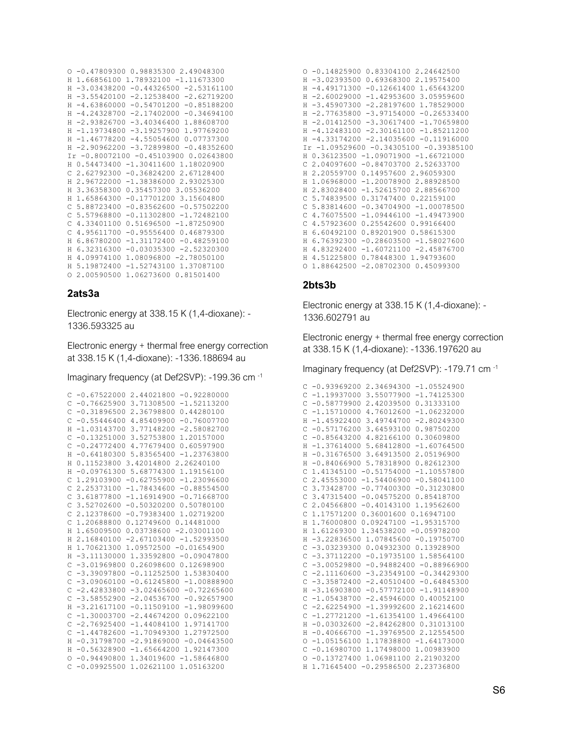```
0 -0.47809300 0.98835300 2.49048300
H 1.66856100 1.78932100 -1.11673300
H -3.03438200 -0.44326500 -2.53161100
H -3.55420100 -2.12538400 -2.62719200
H -4.63860000 -0.54701200 -0.85188200
H -4.24328700 -2.17402000 -0.34694100
H - 2.93826700 - 3.40346400 1.88608700H -1.19734800 -3.19257900 1.97769200
H -1.46778200 -4.55054600 0.07737300
H -2.90962200 -3.72899800 -0.48352600
Ir -0.80072100 -0.45103900 0.02643800
H 0.54473400 -1.30411600 1.18020900
C 2.62792300 -0.36824200 2.67128400
H 2.96722000 -1.38386000 2.93025300
H 3.36358300 0.35457300 3.05536200
H 1.65864300 -0.17701200 3.15604800
C 5.88723400 -0.83562600 -0.57502200
C 5.57968800 -0.11302800 -1.72482100
C 4.33401100 0.51696500 -1.87250900
C 4.95611700 -0.95556400 0.46879300
H 6.86780200 -1.31172400 -0.48259100
H 6.32316300 -0.03035300 -2.52320300
H 4.09974100 1.08096800 -2.78050100
H 5.19872400 -1.52743100 1.37087100
0 2.00590500 1.06273600 0.81501400
```
#### 2ats3a

Electronic energy at 338.15 K (1,4-dioxane): -1336.593325 au

Electronic energy + thermal free energy correction at 338.15 K (1,4-dioxane): -1336.188694 au

Imaginary frequency (at Def2SVP): -199.36 cm<sup>-1</sup>

```
C - 0.675220002.44021800 - 0.92280000C -0.76625900 3.71308500 -1.52113200
C -0.31896500 2.36798800 0.44280100
C - 0.55446400 4.85409900 - 0.76007700H -1.03143700 3.77148200 -2.58082700
C -0.13251000 3.52753800 1.20157000
C - 0.247724004.776794000.60597900H -0.64180300 5.83565400 -1.23763800
H 0.11523800 3.42014800 2.26240100
H -0.09761300 5.68774300 1.19156100
C 1.29103900 -0.62755900 -1.23096600
C 2.25373100 -1.78434600 -0.88554500
C 3.61877800 -1.16914900 -0.71668700
C 3.52702600 -0.50320200 0.50780100
C 2.12378600 -0.79383400 1.02719200
C 1.20688800 0.12749600 0.14481000
H 1.65009500 0.03738600 -2.03001100
H 2.16840100 -2.67103400 -1.52993500
H 1.70621300 1.09572500 -0.01654900
H -3.11130000 1.33592800 -0.09047800
C - 3.01969800 0.26098600 0.12698900C - 3.39097800 - 0.11252500 1.53830400C - 3.09060100 - 0.61245800 - 1.00888900C -2.42833800 -3.02465600 -0.72265600C - 3.58552900 - 2.04536700 - 0.92657900H -3.21617100 -0.11509100 -1.98099600
C -1.30003700 -2.44674200 0.09622100C -2.76925400 -1.44084100 1.97141700C -1.44782600 -1.70949300 1.27972500H -0.31798700 -2.91869000 -0.04643500
H -0.56328900 -1.65664200 1.92147300
0 - 0.944908001.34019600 - 1.58646800C -0.09925500 1.02621100 1.05163200
```

|                       | 0 -0.14825900 0.83304100 2.24642500    |
|-----------------------|----------------------------------------|
|                       | H -3.02393500 0.69368300 2.19575400    |
| H -4.49171300         | $-0.12661400$ 1.65643200               |
| $-2.60029000$<br>H.   | $-1.42953600$ 3.05959600               |
| $-3.45907300$<br>H    | $-2.28197600$<br>1.78529000            |
| $-2.77635800$<br>H    | $-3.97154000 - 0.26533400$             |
| $-2.01412500$<br>H    | $-3.30617400 -1.70659800$              |
| H -4.12483100         | $-2.30161100 -1.85211200$              |
|                       | H -4.33174200 -2.14035600 -0.11916000  |
|                       | Ir -1.09529600 -0.34305100 -0.39385100 |
| 0.36123500<br>H.      | $-1.09071900 -1.66721000$              |
|                       | C 2.04097600 -0.84703700 2.52633700    |
| H.                    | 2.20559700 0.14957600 2.96059300       |
| H<br>1.06968000       | $-1.200789002.88928500$                |
| H 2.83028400          | $-1.526157002.88566700$                |
| $C$ 5.74839500        | 0.31747400 0.22159100                  |
| 5.83814600<br>C       | $-0.34704900 -1.00078500$              |
| 4.76075500<br>C       | $-1.09446100 -1.49473900$              |
| C<br>4.57923600       | 0.25542600 0.99166400                  |
| H<br>6.60492100       | 0.89201900 0.58615300                  |
| 6.76392300<br>H       | $-0.28603500 -1.58027600$              |
| H<br>4.83292400       | $-1.60721100 -2.45876700$              |
| 4.51225800<br>H       | 0.78448300 1.94793600                  |
| 1.88642500<br>$\circ$ | $-2.0870230000.45099300$               |

## 2bts3b

Electronic energy at 338.15 K (1,4-dioxane): -1336.602791 au

Electronic energy + thermal free energy correction at 338.15 K (1,4-dioxane): -1336.197620 au

Imaginary frequency (at Def2SVP): -179.71 cm -1

| C        | $-0.93969200$ 2.34694300 $-1.05524900$       |
|----------|----------------------------------------------|
| Ċ        | $-1.19937000$<br>3.55077900<br>$-1.74125300$ |
| Ċ        | 2.42039500<br>$-0.58779900$<br>0.31333100    |
| Ċ        | $-1.06232000$<br>$-1.15710000$ 4.76012600    |
| H        | $-1.45922400$<br>3.49744700<br>$-2.80249300$ |
| Ċ        | $-0.57176200$<br>0.98750200<br>3.64593100    |
| Ċ        | $-0.85643200$<br>4.82166100<br>0.30609800    |
| H        | 5.68412800<br>$-1.37614000$<br>$-1.60764500$ |
| H        | $-0.31676500$<br>3.64913500<br>2.05196900    |
| H        | $-0.84066900$ 5.78318900<br>0.82612300       |
| C        | 1.41345100 -0.51754000<br>$-1.10557800$      |
| Ċ        | 2.45553000 -1.54406900 -0.58041100           |
| Ċ        | 3.73428700 -0.77400300 -0.31230800           |
| Ċ        | 3.47315400 -0.04575200 0.85418700            |
| Ċ        | 2.04566800 -0.40143100 1.19562600            |
| Ċ        | 1.17571200 0.36001600<br>0.16947100          |
| H        | $0.09247100 -1.95315700$<br>1,76000800       |
| H        | 1,61269300<br>1.34538200 -0.05978200         |
| H        | $-3.22836500$ 1.07845600 $-0.19750700$       |
| Ċ        | $-3.0323930000.0493230000.13928900$          |
| Ċ        | $-3.37112200 -0.19735100 1.58564100$         |
| Ċ        | $-3.00529800$<br>$-0.94882400 -0.88966900$   |
| Ċ        | $-3.23549100 -0.34429300$<br>$-2.11160600$   |
| Ċ        | $-3.35872400$<br>$-2.40510400 -0.64845300$   |
| H        | $-3.16903800$<br>$-0.57772100 -1.91148900$   |
| Ċ        | $-1.05438700$<br>$-2.45946000$<br>0.40052100 |
| Ċ        | $-2.62254900$<br>$-1.39992600$<br>2.16214600 |
| C        | $-1.27721200$<br>$-1.61354100$<br>1.49664100 |
| H        | $-0.03032600$<br>0.31013100<br>$-2.84262800$ |
| H        | $-0.40666700 - 1.39769500$<br>2.12554500     |
| $\circ$  | $-1.05156100$<br>1.17838800 -1.64173000      |
| C        | $-0.16980700$<br>1.17498000 1.00983900       |
| $\Omega$ | $-0.13727400$<br>1.06981100 2.21903200       |
| H.       | 1.71645400 -0.29586500<br>2.23736800         |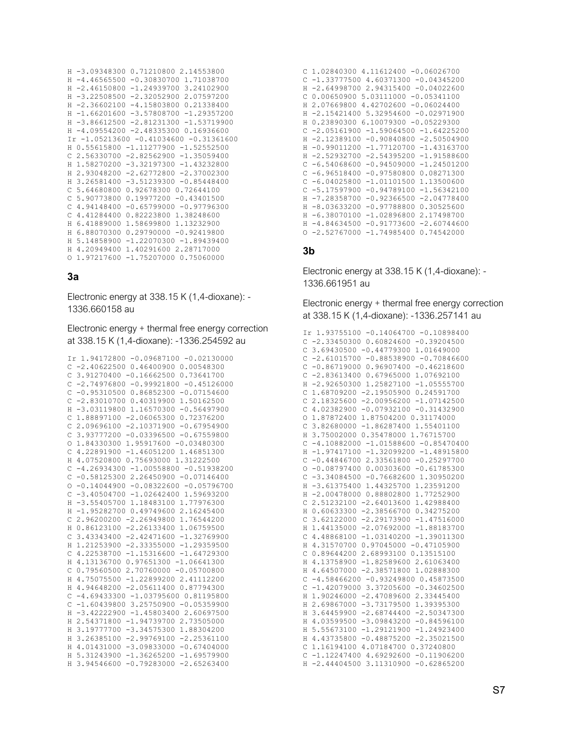```
H -3.09348300 0.71210800 2.14553800
H -4.46565500 -0.30830700 1.71038700
H -2.46150800 -1.24939700 3.24102900
H -3.22508500 -2.32052900 2.07597200
H -2.36602100 -4.15803800 0.21338400
H -1.66201600 -3.57808700 -1.29357200
H = 3.86612500 - 2.81231300 - 1.53719900H -4.09554200 -2.48335300 0.16936600
Ir -1.05213600 -0.41034600 -0.31361600
H 0.55615800 -1.11277900 -1.52552500
C 2.56330700 -2.82562900 -1.35059400
H 1.58270200 -3.32197300 -1.43232800
H 2.93048200 -2.62772800 -2.37002300
H 3.26581400 -3.51239300 -0.85448400
C 5.64680800 0.92678300 0.72644100
C 5.90773800 0.19977200 -0.43401500
C 4.94148400 -0.65799000 -0.97796300
C 4.41284400 0.82223800 1.38248600
H 6.41889000 1.58699800 1.13232900
H 6.88070300 0.29790000 -0.92419800
H 5.14858900 -1.22070300 -1.89439400
H 4.20949400 1.40291600 2.28717000
0 1.97217600 -1.75207000 0.75060000
```
#### $3a$

Electronic energy at 338.15 K (1,4-dioxane): -1336.660158 au

Electronic energy + thermal free energy correction at 338.15 K (1,4-dioxane): -1336.254592 au

```
Ir 1.94172800 -0.09687100 -0.02130000
C - 2.40622500 0.46400900 0.00548300C 3.91270400 -0.16662500 0.73641700
C -2.74976800 -0.99921800 -0.45126000C - 0.9531050000.86852300 - 0.07154600C - 2.8301070000.403199001.50162500H -3.03119800 1.16570300 -0.56497900
C 1.88897100 -2.06065300 0.72376200
C 2.09696100 -2.10371900 -0.67954900
C 3.93777200 -0.03396500 -0.67559800
0 1.84330300 1.95917600 -0.03480300
C 4.22891900 -1.46051200 1.46851300
H 4.07520800 0.75693000 1.31222500
C - 4.26934300 - 1.00558800 - 0.51938200C - 0.58125300 2.26450900 - 0.071464000 - 0.14044900 - 0.08322600 - 0.05796700C - 3.40504700 - 1.02642400 1.59693200H -3.55405700 1.18483100 1.77976300
H -1.95282700 0.49749600 2.16245400
C 2.96200200 -2.26949800 1.76544200
H 0.86123100 -2.26133400 1.06759500
C 3.43343400 -2.42471600 -1.32769900
H 1.21253900 -2.33355000 -1.29359500
C 4.22538700 -1.15316600 -1.64729300
H 4.13136700 0.97651300 -1.06641300
C 0.79560500 2.70760000 -0.05700800
H 4.75075500 -1.22899200 2.41112200
H 4.94648200 -2.05611400 0.87794300
C - 4.69433300 - 1.03795600 0.81195800C -1.60439800 3.25750900 -0.05359900
H -3.42222900 -1.45803400 2.60697500
H 2.54371800 -1.94739700 2.73505000
H 3.19777700 -3.34575300 1.88304200
H 3.26385100 -2.99769100 -2.25361100
H 4.01431000 -3.09833000 -0.67404000
H 5.31243900 -1.36265200 -1.69579900
H 3.94546600 -0.79283000 -2.65263400
```

|    |                  | $C$ 1.02840300 4.11612400 -0.06026700 |
|----|------------------|---------------------------------------|
| C  | $-1.33777500$    | 4.60371300 -0.04345200                |
| H  | $-2.64998700$    | 2.94315400 -0.04022600                |
| С  | 0.00650900       | 5.03111000<br>$-0.05341100$           |
| H  | 2.07669800       | 4.42702600 -0.06024400                |
| H  | $-2.15421400$    | 5.32954600 -0.02971900                |
| H  | 0.23890300       | 6.10079300 -0.05229300                |
| C  | $-2.05161900$    | $-1.59064500 -1.64225200$             |
| H  | $-2.12389100$    | $-0.90840800$<br>$-2.50504900$        |
| H  | $-0.99011200$    | $-1.77120700$<br>$-1.43163700$        |
| H. | $-2.52932700$    | $-2.54395200$<br>$-1.91588600$        |
| C  | -6.54068600      | $-0.94509000$<br>$-1.24501200$        |
| C  | $-6.96518400$    | 0.08271300<br>$-0.97580800$           |
|    | $C - 6.04025800$ | $-1.01101500$<br>1.13500600           |
| C  | $-5.17597900$    | $-0.94789100$<br>$-1.56342100$        |
| H  | $-7.28358700$    | $-0.92366500$<br>$-2.04778400$        |
| H  | $-8.03633200$    | 0.30525600<br>$-0.97788800$           |
| H  | $-6.38070100$    | 2.17498700<br>$-1.02896800$           |
|    | $H -4.84634500$  | $-0.91773600$<br>$-2.60744600$        |
|    | $0 - 2.52767000$ | $-1.74985400$<br>0.74542000           |

## $3<sub>b</sub>$

Electronic energy at 338.15 K (1,4-dioxane): -1336.661951 au

Electronic energy + thermal free energy correction at 338.15 K (1.4-dioxane): -1336.257141 au

```
Ir 1.93755100 -0.14064700 -0.10898400
            C -2.33450300 0.60824600 -0.39204500C 3.69430500 -0.44779300 1.01649000
           C -2.61015700 -0.88538900 -0.70846600C - 0.86719000 0.96907400 - 0.46218600C -2.83613400 0.67965000 1.07692100
C -2.83613400 0.67965000 1.07692100<br>
H -2.92650300 1.25827100 -1.05555700<br>
C 1.68709200 -2.19505900 0.24591700<br>
C 2.18325600 -2.00956200 -1.07142500<br>
C 4.02382900 -0.07932100 -0.31432900<br>
O 1.87872400 1.87504200 0.3117400
 (1, 3, 4)
(2, 5, 2, 5)
(3, 4, 2, 5)
(4, 5, 4)
(5, 4, 5)
(6, 4, 5)
(7, 4, 5)
(8, 4, 5)
(9, 4, 5)
(1, 4, 5)
(1, 4, 5)
(1, 4, 5)
(1, 4, 5)
(1, 4, 5)
(1, 4, 5)
(1, 4, 5)
(1, 4, 5)
(1, 4, 5)C -0.44846700 2.33561800 -0.25297700<br>C -0.44846700 2.33561800 -0.25297700<br>O -0.08797400 0.00303600 -0.61785300
          C -3.34084500 -0.76682600 1.30950200
          C 3.62122000 -2.29173900 -1.47516000<br>H 1.44135000 -2.07692000 -1.88183700
          C 4.48868100 -1.03140200 -1.39011300
         H 4.31570700 0.97045000 -0.47105900
            C 0.89644200 2.68993100 0.13515100
          H 4.13758900 -1.82589600 2.61063400
          H 4.64507000 -2.38571800 1.02888300
          C - 4.58466200 - 0.93249800 0.45873500C -1.42079000 3.37205600 -0.34602500
          H 1.90246000 -2.47089600 2.33445400
          H 2.69867000 -3.73179500 1.39395300
          H 3.64459900 -2.68744400 -2.50347300<br>H 4.03599500 -3.09843200 -0.84596100
          H 5.55673100 -1.29121900 -1.24923400
          H 4.43735800 -0.48875200 -2.35021500
 C\begin{array}{c} 1.16194100 & 4.07184700 & 0.37240800 \\ 0.116194100 & 4.07184700 & 0.37240800 \\ 0.112247400 & 4.69292600 & -0.11906200 \end{array}H -2.44404500 3.11310900 -0.62865200
```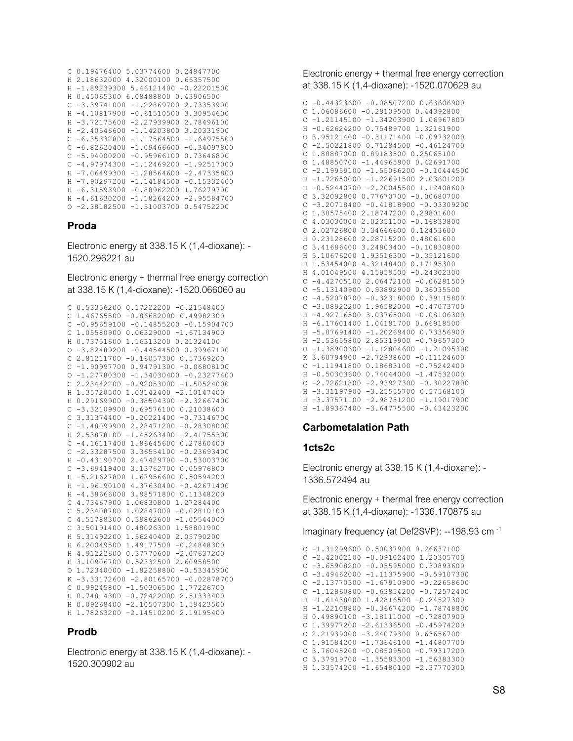```
C 0.19476400 5.03774600 0.24847700
H 2.18632000 4.32000100 0.66357500
H -1.89239300 5.46121400 -0.22201500<br>H 0.45065300 6.08488800 0.43906500
H 0.45065300 6.08488800 0.43906500
C -3.39741000 -1.22869700 2.73353900
H -4.10817900 -0.61510500 3.30954600
H -3.72175600 -2.27939900 2.78496100
H -2.40546600 -1.14203800 3.20331900
C -6.35332800 -1.17564500 -1.64975500
C -6.82620400 -1.09466600 -0.34097800
C -5.94000200 -0.95966100 0.73646800
C -4.97974300 -1.12469200 -1.92517000
H -7.06499300 -1.28564600 -2.47335800
H -7.90297200 -1.14184500 -0.15332400
H -6.31593900 -0.88962200 1.76279700
H -4.61630200 -1.18264200 -2.95584700
O -2.38182500 -1.51003700 0.54752200
```
## **Proda**

1520.296221 au

Electronic energy + thermal free energy correction at 338.15 K (1,4-dioxane): -1520.066060 au

```
C 0.53356200 0.17222200 -0.21548400
C 1.46765500 -0.86682000 0.49982300
C -0.95659100 -0.14855200 -0.15904700
C 1.05580900 0.06329000 -1.67134900
H 0.73751600 1.16313200 0.21324100
O -3.82489200 -0.44544500 0.39967100
C 2.81211700 -0.16057300 0.57369200
C -1.90997700 0.94791300 -0.06808100
O -1.27780300 -1.34030400 -0.23277400
C 2.23442200 -0.92053000 -1.50524000
H 1.35720500 1.03142400 -2.10147400
H 0.29169900 -0.38504300 -2.32667400
C -3.32109900 0.69576100 0.21038600
C 3.31374400 -0.20221400 -0.73146700
C -1.48099900 2.28471200 -0.28308000
H 2.53878100 -1.45263400 -2.41755300
C -4.16117400 1.86645600 0.27860400
C -2.33287500 3.36554100 -0.23693400
H -0.43190700 2.47429700 -0.53003700
C -3.69419400 3.13762700 0.05976800
H -5.21627800 1.67956600 0.50594200
H -1.96190100 4.37630400 -0.42671400
H -4.38666000 3.98571800 0.11348200
C 4.73467900 1.06830800 1.27284400
C 5.23408700 1.02847000 -0.02810100
C 4.51788300 0.39862600 -1.05544000
C 3.50191400 0.48026300 1.58801900
H 5.31492200 1.56240400 2.05790200
H 6.20049500 1.49177500 -0.24848300
H 4.91222600 0.37770600 -2.07637200
H 3.10906700 0.52332500 2.60958500
O 1.72340000 -1.82258800 -0.53345900
K -3.33172600 -2.80165700 -0.02878700
C 0.99245800 -1.50306500 1.77226700
H 0.74814300 -0.72422000 2.51333400
H 0.09268400 -2.10507300 1.59423500
H 1.78263200 -2.14510200 2.19195400
```
## **Prodb**

Electronic energy at 338.15 K (1,4-dioxane): - C 3.76045200 -0.08509500 -0.79317200 1520.300902 au

Electronic energy + thermal free energy correction at 338.15 K (1,4-dioxane): -1520.070629 au

```
н 0.23128600 2.28715200 0.48061600<br>С 3.41686400 3.24803400 -0.1083080 - Electronic energy at 338.15 K (1,4-dioxane): - с 3.41686400 3.24803400 -0
                                                        C -0.44323600 -0.08507200 0.63606900
                                                        C 1.06086600 -0.29109500 0.44392800
                                                        C -1.21145100 -1.34203900 1.06967800
                                                        H -0.62624200 0.75489700 1.32161900
                                                        O 3.95121400 -0.31171400 -0.09732000
                                                        C -2.50221800 0.71284500 -0.46124700
                                                        C 1.88887000 0.89183500 0.25065100
                                                        O 1.48850700 -1.44965900 0.42691700
                                                        C -2.19959100 -1.55066200 -0.10444500
                                                        H -1.72650000 -1.22691500 2.03601200
                                                        H -0.52440700 -2.20045500 1.12408600
                                                        C 3.32092800 0.77670700 -0.00680700
                                                        C -3.20718400 -0.41818900 -0.03309200
                                                        C 1.30575400 2.18747200 0.29801600
                                                        C 4.03030000 2.02351100 -0.16833800
                                                      C 2.02726800 3.34666600 0.12453600
                                                        C 3.41686400 3.24803400 -0.10830800
                                                        H 5.10676200 1.93516300 -0.35121600
                                                        H 1.53454000 4.32148400 0.17195300
                                                        H 4.01049500 4.15959500 -0.24302300
                                                        C -4.42705100 2.06472100 -0.06281500
                                                        C -5.13140900 0.93892900 0.36035500
                                                        C -4.52078700 -0.32318000 0.39115800
                                                        C -3.08922200 1.96582000 -0.47073700
                                                        H -4.92716500 3.03765000 -0.08106300
                                                        H -6.17601400 1.04181700 0.66918500
                                                        H -5.07691400 -1.20269400 0.73356900
                                                        H -2.53655800 2.85319900 -0.79657300
                                                        O -1.38900600 -1.12804600 -1.21095300
                                                        K 3.60794800 -2.72938600 -0.11124600
                                                        C -1.11941800 0.18683100 -0.75242400
                                                        H -0.50303600 0.74044000 -1.47532000
                                                        C -2.72621800 -2.93927300 -0.30227800
                                                        H -3.31197900 -3.25555700 0.57568100
                                                        H -3.37571100 -2.98751200 -1.19017900
                                                        H -1.89367400 -3.64775500 -0.43423200
```
# **Carbometalation Path**

## **1cts2c**

Electronic energy at 338.15 K (1,4-dioxane): - 1336.572494 au

Electronic energy + thermal free energy correction Electronic energy + triermanned energy<br>at 338.15 K (1,4-dioxane): -1336.170875 au

Imaginary frequency (at Def2SVP): --198.93 cm -1

C -1.31299600 0.50037900 0.26637100 C -2.42002100 -0.09102400 1.20305700 C -3.65908200 -0.05595000 0.30893600 C -3.49462000 -1.11375900 -0.59107300 C -2.13770300 -1.67910900 -0.22658600 C -1.12860800 -0.63854200 -0.72572400 H -1.61438000 1.42816500 -0.24527300 H -1.22108800 -0.36674200 -1.78748800 H 0.49890100 -3.18111000 -0.72807900 C 1.39977200 -2.61336500 -0.45974200 C 2.21939000 -3.24079300 0.63656700 C 1.91584200 -1.73646100 -1.44807700 C 3.37919700 -1.35583300 -1.56383300 H 1.33574200 -1.65480100 -2.37770300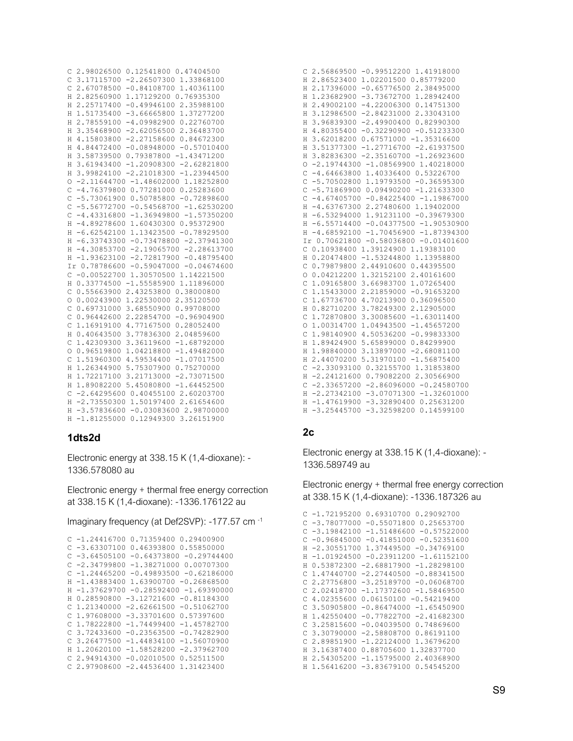```
C 2.98026500 0.12541800 0.47404500
C 3.17115700 -2.26507300 1.33868100
C 2.67078500 -0.84108700 1.40361100
H 2.82560900 1.17129200 0.76935300
H 2.25717400 -0.49946100 2.35988100
H 1.51735400 -3.66665800 1.37277200
H 2.78559100 -4.09982900 0.22760700
H 3.35468900 -2.62056500 2.36483700
H 4.15803800 -2.27158600 0.84672300
H 4.84472400 -0.08948000 -0.57010400
H 3.58739500 0.79387800 -1.43471200
H 3.61943400 -1.20908300 -2.62821800
H 3.99824100 -2.21018300 -1.23944500
0 -2.11644700 -1.48602000 1.18252800C - 4.76379800 0.77281000 0.25283600C - 5.7306190000.50785800 - 0.72898600C - 5.56772700 - 0.54568700 - 1.62530200C - 4.43316800 - 1.36949800 - 1.57350200H -4.89278600 1.60430300 0.95372900
H -6.62542100 1.13423500 -0.78929500
H -6.33743300 -0.73478800 -2.37941300
H -4.30853700 -2.19065700 -2.28613700
H -1.93623100 -2.72817900 -0.48795400
Ir 0.78786600 -0.59047000 -0.04674600
C -0.00522700 1.30570500 1.14221500
H 0.33774500 -1.55585900 1.11896000
C 0.55663900 2.43253800 0.38000800
0 0 00243900 1 22530000 2 35120500
C 0.69731000 3.68550900 0.99708000
C 0.96442600 2.22854700 -0.96904900
C 1.16919100 4.77167500 0.28052400
H 0.40643500 3.77836300 2.04859600
C 1.42309300 3.36119600 -1.68792000
0 0.96519800 1.04218800 -1.49482000
C 1.51960300 4.59534400 -1.07017500
H 1.26344900 5.75307900 0.75270000
H 1.72217100 3.21713000 -2.73071500
H 1.89082200 5.45080800 -1.64452500
C -2.64295600 0.40455100 2.60203700H -2.73550300 1.50197400 2.61654600
H -3.57836600 -0.03083600 2.98700000
H -1.81255000 0.12949300 3.26151900
```
#### 1dts2d

Electronic energy at 338.15 K (1,4-dioxane): -1336.578080 au

Electronic energy + thermal free energy correction at 338.15 K (1,4-dioxane): -1336.176122 au

Imaginary frequency (at Def2SVP): -177.57 cm<sup>-1</sup>

 $C - 1.244167000000335940000029400900$  $C - 3.63307100 0.46393800 0.55850000$  $C - 3.64505100 - 0.64373800 - 0.29744400$  $C -2.34799800 -1.38271000 0.00707300$  $C -1.24465200 -0.49893500 -0.62186000$ H -1.43883400 1.63900700 -0.26868500 H -1.37629700 -0.28592400 -1.69390000 H 0.28590800 -3.12721600 -0.81184300  $C$  1.21340000 -2.62661500 -0.51062700  $C$  1.97608000 -3.33701600 0.57397600  $C$  1.78222800 -1.74499400 -1.45782700  $C$  3.72433600 -0.23563500 -0.74282900  $C. 3.26477500 - 1.44834100 - 1.56070900$ H 1.20620100 -1.58528200 -2.37962700  $C$  2.94914300 -0.02010500 0.52511500 C 2.97908600 -2.44536400 1.31423400

| $\mathsf{C}$ |               | 2.56869500 -0.99512200 1.41918000        |
|--------------|---------------|------------------------------------------|
| $\mathbf H$  | 2.86523400    | 1.02201500 0.85779200                    |
| Н            | 2.17396000    | $-0.657765002.38495000$                  |
| Н            | 1.23682900    | $-3.73672700$<br>1.28942400              |
| Η            | 2.49002100    | $-4.22006300$<br>0.14751300              |
| Η            | 3.12986500    | $-2,84231000$<br>2.33043100              |
| Н            | 3.96839300    | $-2.49900400 0.82990300$                 |
| Н            | 4.80355400    | $-0.32290900 -0.51233300$                |
| Η            | 3.62018200    | $0.67571000 - 1.35316600$                |
| $\rm H$      | 3.51377300    | $-1.27716700 -2.61937500$                |
| Н            |               | 3.82836300 -2.35160700 -1.26923600       |
| O            |               | $-2.19744300 -1.08569900 1.40218000$     |
| C            |               | $-4.64663800$ 1.40336400 0.53226700      |
| Ċ            |               | $-5.70502800$ 1.19793500 $-0.36595300$   |
| C            | $-5.71869900$ | $0.09490200 - 1.21633300$                |
| Ċ            | $-4.67405700$ | $-0.84225400 -1.19867000$                |
| Н            | $-4.63767300$ | 2.27480600 1.19402000                    |
| Н            | $-6.53294000$ | 1.91231100 -0.39679300                   |
| $\rm H$      | $-6.55714400$ | $-0.04377500 -1.90530900$                |
| Н            | $-4.68592100$ | $-1.70456900 -1.87394300$                |
|              |               | Ir 0.70621800 -0.58036800 -0.01401600    |
|              |               |                                          |
| C            |               | 0.10938400 1.39124900 1.19383100         |
| Н            | 0.20474800    | $-1.53244800$ 1.13958800                 |
| C            | 0.79879800    | 2.44910600 0.44395500                    |
| $\circ$      | 0.04212200    | 1.32152100<br>2.40161600                 |
| C            | 1.09165800    | 3.66983700<br>1.07265400                 |
| C            | 1.15433000    | 2.21859000<br>$-0.91653200$              |
| C            | 1.67736700    | 4.70213900<br>0.36096500                 |
| Η            | 0.82710200    | 3.78249300<br>2.12905000                 |
| C            | 1.72870800    | $-1.63011400$<br>3.30085600              |
| $\circ$      | 1.00314700    | 1.04943500<br>$-1.45657200$              |
| C            | 1.98140900    | 4.50536200<br>$-0.99833300$              |
| $\mathbf H$  | 1.89424900    | 5.65899000<br>0.84299900                 |
| Н            | 1.98840000    | 3.13897000 -2.68081100                   |
| Н            | 2.44070200    | 5.31970100 -1.56875400                   |
| C            |               | $-2.33093100$ 0.32155700 1.31853800      |
| Н            |               | $-2.2412160000.790822002.30566900$       |
| С            | $-2.33657200$ | $-2.86096000 - 0.24580700$               |
| $\rm H$      |               | $-2, 27342100 -3, 07071300 -1, 32601000$ |
| Н            |               | $-1.47619900 -3.32890400 0.25631200$     |

## $2c$

Electronic energy at 338.15 K (1,4-dioxane): -1336.589749 au

Electronic energy + thermal free energy correction at 338.15 K (1,4-dioxane): -1336.187326 au

```
C -1.72195200 0.69310700 0.29092700C = 3.78077000 - 0.55071800 0.25653700C - 3.19842100 - 1.51486600 - 0.57522000C - 0.96845000 - 0.41851000 - 0.52351600H -2.30551700 1.37449500 -0.34769100
H -1.01924500 -0.23911200 -1.61152100
H 0.53872300 -2.68817900 -1.28298100
C 1.47440700 -2.27440500 -0.88341500
C 2.27756800 -3.25189700 -0.06068700
C 2.02418700 -1.17372600 -1.58469500
C 4.02355600 0.06150100 -0.54219400
 C 3.50905800 -0.86474000 -1.65450900
H 1.42550400 -0.77822700 -2.41682300
C 3.25815600 -0.04039500 0.74869600
C 3.30790000 -2.58808700 0.86191100
C 2.89851900 -1.22124000 1.36796200
H 3.16387400 0.88705600 1.32837700
H 2.54305200 -1.15795000 2.40368900
 H 1.56416200 -3.83679100 0.54545200
```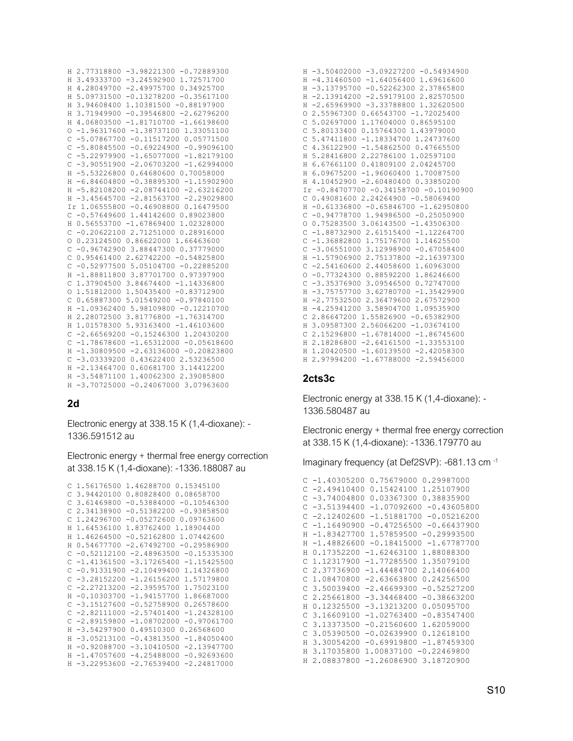```
H 2.77318800 -3.98221300 -0.72889300
H 3.49333700 -3.24592900 1.72571700
H 4.28049700 -2.49975700 0.34925700
H 5.09731500 -0.13278200 -0.35617100
H 3.94608400 1.10381500 -0.88197900
H 3.71949900 -0.39546800 -2.62796200
H 4.06803500 -1.81710700 -1.66198600
O -1.96317600 -1.38737100 1.33051100
C -5.07867700 -0.11517200 0.05771500
C -5.80845500 -0.69224900 -0.99096100
C -5.22979900 -1.65077000 -1.82179100
C -3.90551900 -2.06703200 -1.62994000H -5.53226800 0.64680600 0.70058000
H -6.84604800 -0.38895300 -1.15902900
H -5.82108200 -2.08744100 -2.63216200
H -3.45645700 -2.81563700 -2.29029800
Ir 1.06555800 -0.46908800 0.16479500
C -0.57649600 1.44142600 0.89023800
H 0.56553700 -1.67869400 1.02328000
C -0.20622100 2.71251000 0.28916000
O 0.23124500 0.86622000 1.66463600
C -0.96742900 3.88447300 0.37779000
C 0.95461400 2.62742200 -0.54825800
C -0.52977500 5.05104700 -0.22885200
H -1.88811800 3.87701700 0.97397900
C 1.37904500 3.84674400 -1.14336800
O 1.51812000 1.50435400 -0.83712900
C 0.65887300 5.01549200 -0.97840100
H -1.09362400 5.98109800 -0.12210700
H 2.28072500 3.81776800 -1.76314700
H 1.01578300 5.93163400 -1.46103600
C -2.66569200 -0.15246300 1.20430200
C -1.78678600 -1.65312000 -0.05618600
H -1.30809500 -2.63136000 -0.20823800
C -3.03339200 0.43622400 2.53236500
H -2.13464700 0.60681700 3.14412200
H -3.54871100 1.40062300 2.39085800
H -3.70725000 -0.24067000 3.07963600
```
## **2d**

Electronic energy at 338.15 K (1,4-dioxane): - 1336.591512 au

Electronic energy + thermal free energy correction at 338.15 K (1,4-dioxane): -1336.188087 au

```
C 1.56176500 1.46288700 0.15345100
C 3.94420100 0.80828400 0.08658700
C 3.61469800 -0.53884000 -0.10546300
C 2.34138900 -0.51382200 -0.93858500
C 1.24296700 -0.05272600 0.09763600
H 1.64536100 1.83762400 1.18904400
H 1.46264500 -0.52162800 1.07442600
H 0.54677700 -2.67492700 -0.29586900
C -0.52112100 -2.48963500 -0.15335300
C -1.41361500 -3.17265400 -1.15425500
C -0.91331900 -2.10499400 1.14326800
C -3.28152200 -1.26156200 1.57179800
C -2.27213200 -2.39595700 1.75023100
H -0.10303700 -1.94157700 1.86687000
C -3.15127600 -0.52758900 0.26578600
C -2.82111000 -2.57401400 -1.24328100
C -2.89159800 -1.08702000 -0.97061700
H -3.54297900 0.49510300 0.26568600
H -3.05213100 -0.43813500 -1.84050400
H -0.92088700 -3.10410500 -2.13947700
H -1.47057600 -4.25488000 -0.92693600
H -3.22953600 -2.76539400 -2.24817000
```

| H -3.50402000 -3.09227200 -0.54934900         |
|-----------------------------------------------|
| H -4.31460500 -1.64056400 1.69616600          |
| H -3.13795700 -0.52262300 2.37865800          |
| $-2.13914200 -2.59179100 2.82570500$<br>H     |
| $-2.65969900 -3.33788800 1.32620500$<br>H     |
| 2.55967300 0.66543700 -1.72025400<br>$\circ$  |
| 5.02697000 1.17604000 0.86595100<br>C         |
| 5.80133400 0.15764300 1.43979000<br>C         |
| 5.47411800 -1.18334700 1.24737600<br>C        |
| C<br>4.36122900 -1.54862500 0.47665500        |
| 5.28416800 2.22786100 1.02597100<br>H         |
| 6.67661100 0.41809100 2.04245700<br>H         |
| 6.09675200 -1.96060400 1.70087500<br>H        |
| 4.10452900 -2.60480400 0.33850200<br>H.       |
| Ir -0.84707700 -0.34158700 -0.10190900        |
| $C$ 0.49081600 2.24264900 -0.58069400         |
| H -0.61336800 -0.65846700 -1.62950800         |
| $C - 0.947787001.94986500 - 0.25050900$       |
| 0.75283500 3.06143500 -1.43506300<br>0        |
| $-1.88732900$ 2.61515400 $-1.12264700$<br>C   |
| $-1.36882800$ 1.75176700 1.14625500<br>C      |
| $-3.06551000$ 3.12998900 $-0.67058400$<br>C   |
| H -1.57906900 2.75137800 -2.16397300          |
| C<br>$-2.541606002.440586001.60963000$        |
| $\circ$<br>$-0.7732430000.885922001.86246600$ |
| C.<br>-3.35376900 3.09546500 0.72747000       |
| $-3.75757700$ 3.62780700 $-1.35429900$<br>H   |
| $-2,77532500$ 2.36479600<br>2.67572900<br>H   |
| -4.25941200 3.58904700 1.09535900<br>H        |
| 2.86647200 1.55826900 -0.65382900<br>C        |
| 3.09587300 2.56066200 -1.03674100<br>H        |
| C<br>2.15296800 -1.67814000 -1.86745600       |
| H 2.18286800 -2.64161500 -1.33553100          |
| H 1.20420500 -1.60139500 -2.42058300          |
| H 2.97994200 -1.67788000 -2.59456000          |

#### **2cts3c**

Electronic energy at 338.15 K (1,4-dioxane): - 1336.580487 au

Electronic energy + thermal free energy correction at 338.15 K (1,4-dioxane): -1336.179770 au

Imaginary frequency (at Def2SVP): -681.13 cm -1

```
C -1.40305200 0.75679000 0.29987000
 C -2.49410400 0.15424100 1.25107900
 C -3.74004800 0.03367300 0.38835900
 C -3.51394400 -1.07092600 -0.43605800C -2.12402600 -1.51881700 -0.05216200
C -1.16490900 -0.47256500 -0.66437900
H -1.83427700 1.57859500 -0.29993500
 H -1.48826600 -0.18415000 -1.67787700
 H 0.17352200 -1.62463100 1.88088300
C 1.12317900 -1.77285500 1.35079100
C 2.37736900 -1.44484700 2.14066400
C 1.08470800 -2.63663800 0.24256500
C 3.50039400 -2.46699300 -0.52527200
 C 2.25661800 -3.34468400 -0.38663200
H 0.12325500 -3.13213200 0.05095700
C 3.16609100 -1.02763400 -0.83547400
C 3.13373500 -0.21560600 1.62059000
C 3.05390500 -0.02639900 0.12618100
  H 3.30054200 -0.69919800 -1.87459300
  H 3.17035800 1.00837100 -0.22469800
H 2.08837800 -1.26086900 3.18720900
```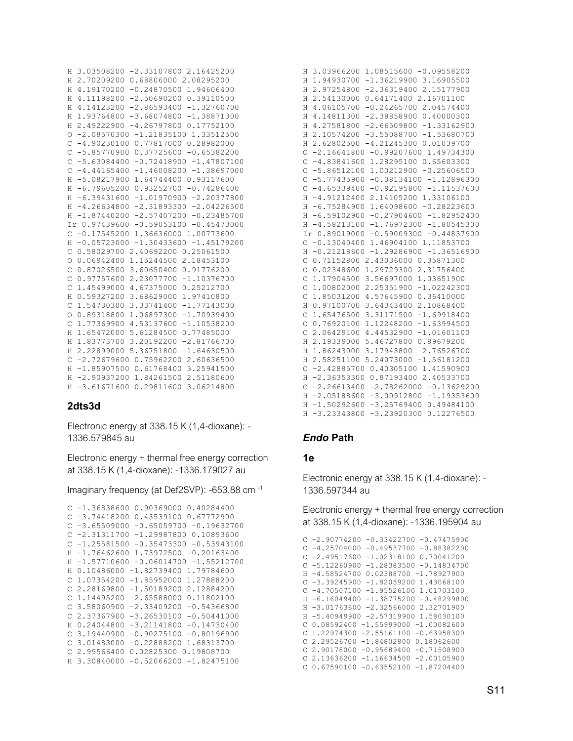| Η              | 3.03508200 -2.33107800 2.16425200          |  |
|----------------|--------------------------------------------|--|
| Η              | 2.70209200 0.68806000 2.08295200           |  |
| Η              | 4.19170200 -0.24870500 1.94606400          |  |
| Η              | 4.11198200 -2.50690200 0.39110500          |  |
| Η              | 4.14123200 -2.86593400 -1.32760700         |  |
| Η              | 1.93764800 -3.68074800 -1.38871300         |  |
| Η              | 2.49222900 -4.26797800 0.17752100          |  |
| O              | $-2.08570300 -1.21835100 1.33512500$       |  |
| $\mathsf{C}$   | $-4.90230100 0.77817000 0.28982000$        |  |
| C              | $-5.8577090000.37725600 -0.65382200$       |  |
| $\mathcal{C}$  | $-5.63084400 -0.72418900 -1.47807100$      |  |
| $\mathsf{C}$   | $-4.44165400 -1.46008200 -1.38697000$      |  |
| Η              | $-5.08217900$ 1.64744400 0.93117600        |  |
| Η              | $-6.7960520000.93252700 -0.74286400$       |  |
| Η              | $-1.01970900 -2.20377800$<br>$-6.39431600$ |  |
| Η              | $-4.26634800 -2.31893300 -2.04226500$      |  |
| Η              | $-1.87440200 -2.57407200 -0.23485700$      |  |
|                | Ir 0.97439600 -0.59053100 -0.45473000      |  |
| $\mathsf{C}$   | $-0.17545200$ 1.36636000 1.00773600        |  |
| Η              | $-0.05723000 -1.30433600 -1.45179200$      |  |
| $\mathsf{C}$   | 2.40692200 0.25061500<br>0.58029700        |  |
| $\circ$        | 1.15244500 2.18453100<br>0.06942400        |  |
| $\mathsf{C}$   | 0.87026500<br>3.60650400 0.91776200        |  |
| C              | 0.97757600<br>2.23077700 -1.10376700       |  |
| $\mathsf{C}$   | 1.45499000<br>4.67375000 0.25212700        |  |
| Η              | 0.59327200<br>3.68629000 1.97410800        |  |
| C              | 1.54730300<br>3.33741400<br>$-1.77143000$  |  |
| $\circ$        | 0.89318800<br>1.06897300<br>$-1.70939400$  |  |
| C              | 1.77369900 4.53137600<br>$-1.10538200$     |  |
| Η              | 1.65472000 5.61284500<br>0.77485000        |  |
| Η              | 1.83773700<br>3.20192200 -2.81766700       |  |
| Η              | 2.22899000 5.36751800 -1.64630500          |  |
| $\overline{C}$ | $-2, 7267960000, 759622002, 60636500$      |  |
| Η              | $-1.8590750000.617684003.25941500$         |  |
| Η              | $-2.90937200$ 1.84261500 2.51180600        |  |
| Η              | $-3.61671600$<br>3.06214800<br>0.29811600  |  |

## 2dts3d

Electronic energy at 338.15 K (1,4-dioxane): -1336.579845 au

Electronic energy + thermal free energy correction at 338.15 K (1,4-dioxane): -1336.179027 au

Imaginary frequency (at Def2SVP): -653.88 cm -1

```
C - 1.36838600 0.90369000 0.40284400C - 3.7441820000.4353910000.67772900C - 3.65509000 - 0.65059700 - 0.19632700C -2.31311700 -1.29987800 0.10893600C -1.25581500 -0.35473300 -0.53943100H -1.76462600 1.73972500 -0.20163400
H -1.57710600 -0.06014700 -1.55212700
H 0.10486000 -1.82739400 1.79784600
C 1.07354200 -1.85952000 1.27888200
C 2.28169800 -1.50189200 2.12884200
C 1.14495200 -2.65588000 0.11802100
C 3.58060900 -2.33409200 -0.54366800
C 2.37367900 -3.26530100 -0.50441000
H 0.24044800 -3.21141800 -0.14730400
C 3.19440900 -0.90275100 -0.80196900
C 3.01483000 -0.22888200 1.68313700
C 2.99566400 0.02825300 0.19808700
H 3.30840000 -0.52066200 -1.82475100
```

| H              | 3.03966200 1.08515600 -0.09558200            |
|----------------|----------------------------------------------|
| Н              | 1.94930700 -1.36219900 3.16905500            |
| Н              | 2.97254800 -2.36319400 2.15177900            |
| H              | 2.54130000 0.64171400 2.16701100             |
| Η              | $-0.242657002.04574400$<br>4.06105700        |
| Η              | 4.14811300<br>$-2.3885890000.40000300$       |
| Η              | 4.27581800 -2.66509800 -1.33162900           |
| H              | 2.10574200 -3.55088700 -1.53680700           |
| Η              | 2.62802500 -4.21245300 0.01039700            |
| $\circ$        | $-2.16641800 -0.99207600 1.49734300$         |
| C              | -4.83841600 1.28295100 0.65603300            |
| C              | $-5.86512100$ 1.00212900 $-0.25606500$       |
| $\mathsf{C}$   | $-5.77435900 -0.08134100 -1.12896300$        |
| $\mathsf C$    | $-4.65339400 -0.92195800 -1.11537600$        |
| Η              | $-4.91212400$<br>2.14105200 1.33106100       |
| Η              | $-6.75284900$ 1.64098600 $-0.28223600$       |
| Η              | $-6.59102900 -0.27904600 -1.82952400$        |
| H              | $-4.58213100 -1.76972300 -1.80545300$        |
|                | Ir 0.89019000 -0.59009300 -0.44837900        |
| $\overline{C}$ | $-0.13040400$ 1.46904100 1.11853700          |
| H              | $-0.21218600 -1.29286900 -1.36516900$        |
| $\mathsf C$    | 0.71152800 2.43036000 0.35871300             |
| $\circ$        | 0.02348600 1.29729300 2.31756400             |
| C              | 1,17904500<br>3.56697000<br>1.03651900       |
| $\mathsf{C}$   | 1.00802000<br>2.25351900<br>$-1.02242300$    |
| $\mathsf{C}$   | 1.85031200<br>4.57645900 0.36410000          |
| Η              | 0.97100700<br>3.64343400<br>2.10868400       |
| $\mathsf C$    | 1.65476500<br>3.31171500<br>$-1.69918400$    |
| O              | 0.76920100<br>1.12248200 -1.63994500         |
| $\mathsf{C}$   | $-1.01601100$<br>2.06429100<br>4.44532900    |
| Η              | 2.19339000<br>5.46727800<br>0.89679200       |
| Η              | 1.86243000<br>3.17943800<br>$-2.76526700$    |
| Η              | 5.24073000 -1.56181200<br>2.58251100         |
| C              | $-2.4288570000.403051001.41590900$           |
| Η              | -2.36353300 0.87193400 2.40533700            |
| $\mathsf C$    | $-2.26613400 -2.78262000 -0.13629200$        |
| Η              | $-2.05188600 -3.00912800 -1.19353600$        |
| H              | $-1.50292600 -3.25769400 0.49484100$         |
| H              | $-3.23343800$<br>$-3.23920300$<br>0.12276500 |

## **Endo Path**

# 1e

Electronic energy at 338.15 K (1,4-dioxane): -1336.597344 au

Electronic energy + thermal free energy correction at 338.15 K (1,4-dioxane): -1336.195904 au

|   | $C -2.90774200$         | $-0.33422700$ | $-0.47475900$ |
|---|-------------------------|---------------|---------------|
|   | $C - 4.25704000$        | $-0.49537700$ | $-0.88382200$ |
| C | $-2.49517600$           | $-1.02318100$ | 0.70041200    |
|   | $C - 5.12260900$        | $-1.28383500$ | $-0.14834700$ |
| H | $-4.58524700$           | 0.02388700    | $-1.78927900$ |
|   | $C - 3.39245900$        | $-1.82059200$ | 1.43068100    |
|   | $C - 4.70507100$        | $-1.95526100$ | 1.01703100    |
| H | $-6.16049400$           | $-1.38775200$ | $-0.48299800$ |
| H | $-3.01763600$           | $-2.32566000$ | 2.32701900    |
| H | $-5.40949900$           | $-2.57319900$ | 1.58030100    |
| C | 0.08592400              | $-1.55999000$ | $-1.00082600$ |
|   | C <sub>1.22974300</sub> | $-2.55161100$ | $-0.63958300$ |
|   | C 2.29526700            | $-1.84802800$ | 0.18062600    |
|   | $C$ 2.90178000          | $-0.95689400$ | $-0.71508900$ |
|   | C 2.13636200            | $-1.16634500$ | $-2.00105900$ |
|   | $C$ 0.67590100          | $-0.63552100$ | $-1.87204400$ |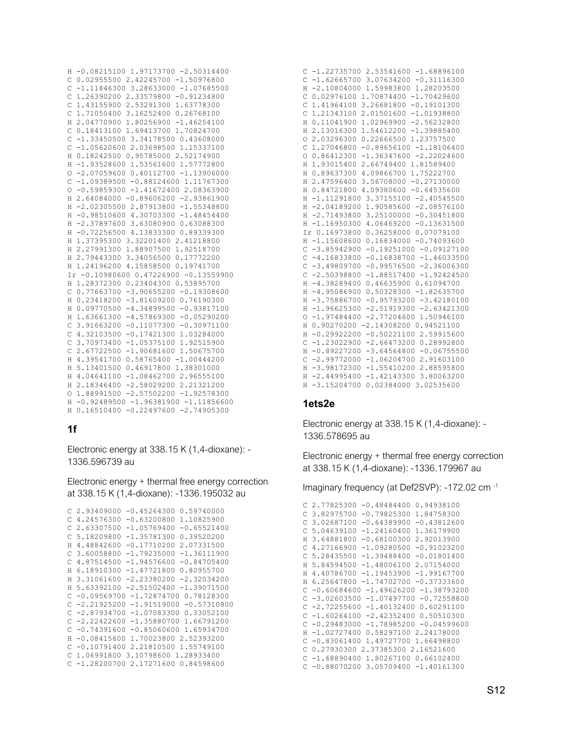```
H -0.08215100 1.97173700 -2.50314400
C 0.02955500 2.42245700 -1.50976800
C -1.11846300 3.28633000 -1.07685500C 1.26390200 2.33579800 -0.91234800
C 1.43155900 2.53291300 1.63778300
C 1.71050400 3.16252400 0.26768100
H 2.04770900 1.80256900 -1.46254100
C 0.18413100 1.69413700 1.70824700
C -1.33450500 3.34178500 0.43608000
C -1.05620600 2.03698500 1.15337100
H 0.18242500 0.95785000 2.52174900
H -1.93528600 1.53561600 1.57772800
0 -2.07059600 0.40112700 -1.13906000C = 1.09389500 - 0.88124600 1.117673000 - 0.59859300 - 1.41672400 2.08363900H 2.64084000 -0.89606200 -2.93861900
H -2.02305500 2.87913800 -1.55348800
H -0.98510600 4.30703300 -1.48454400
H -2.37897600 3.63080900 0.63088300
H -0.72256500 4.13833300 0.89339300
H 1.37395300 3.32201400 2.41218800
H 2.27991300 1.88907500 1.92518700
H 2.79443300 3.34056500 0.17772200
H 1.24196200 4.15858500 0.19741700
Ir -0.10980600 0.47226900 -0.13559900
H 1.28372300 0.23404300 0.53895700
C 0.77663700 -3.90655200 -0.19308600
H 0.23418200 -3.81609200 0.76190300
H 0.09770500 -4.34899500 -0.93817100
H 1.63661300 -4.57869300 -0.05290200
C 3.91663200 -0.11077300 -0.30971100
C 4.32103500 -0.17421300 1.03284000
C 3.70973400 -1.05375100 1.92515900
C 2.67722500 -1.90681600 1.50675700
H 4.39541700 0.58765400 -1.00444200
H 5.13401500 0.46917800 1.38301000
H 4.04641100 -1.08462700 2.96555100
H 2.18346400 -2.58029200 2.21321200
0 1.88991500 -2.57502200 -1.92578300
H -0.92489500 -1.96381900 -1.11856600
H 0.16510400 -0.22497600 -2.74905300
```
## $1f$

Electronic energy at 338.15 K (1,4-dioxane): -1336.596739 au

Electronic energy + thermal free energy correction at 338.15 K (1,4-dioxane): -1336.195032 au

```
C 2.93409000 -0.45264300 0.59740000
C 4.24576300 -0.63200800 1.10825900
C 2.63307500 -1.05769400 -0.65521400
C 5.18209800 -1.35781300 0.39520200
H 4.48842600 -0.17710200 2.07331500
C 3.60058800 -1.79235000 -1.36111900
C 4.87514500 -1.94576600 -0.84705400
H 6.18910300 -1.47721800 0.80955700
H 3.31061600 -2.23380200 -2.32034200
H 5.63392100 -2.51502400 -1.39071500
C - 0.09569700 - 1.72874700 0.78128300C -2.21925200 -1.91519000 -0.57310800C -2.87934700 -1.07083300 0.33052100C -2.22422600 -1.358807001.66791200C - 0.74391600 - 0.850606001.65934700H -0.08415600 1.70023800 2.52393200
C - 0.107914002.218105001.55749100C 1.06991800 3.10798600 1.28933400
C -1.28200700 2.17271600 0.84598600
```

| $-1, 22735700 2, 53541600 -1, 68896100$<br>С               |
|------------------------------------------------------------|
| 3.07634200 -0.31116300<br>$-1.62665700$<br>C               |
| $-2.10804000$<br>1.59983800 1.28203500<br>H                |
| $\mathsf{C}$<br>1.70874400 -1.70429600<br>0.02976100       |
| 3.26681800 -0.19101300<br>$\mathcal{C}$<br>1.41964100      |
| 1.21343100<br>2.01501600 -1.01938800<br>$\mathsf{C}$       |
| 1.02969900 -2.56232800<br>0.11041900<br>H                  |
| 2.13016300<br>1.54612200 -1.39885400<br>H                  |
| 2.03296300<br>0.22666500<br>1.23757500<br>$\circ$          |
| $-0.89656100 -1.18106400$<br>1.27046800<br>C               |
| 0.86412300<br>$-1.36347600 -2.22024600$<br>$\circ$         |
| 1.81589400<br>1.93015400<br>2.66749400<br>H                |
| 0.89637300<br>1.75222700<br>H<br>4.09866700                |
| 2.47596400<br>3.56708000 -0.27130000<br>Н                  |
| 0.84721800<br>4.09380600 -0.64535600<br>Н                  |
| $-1.11291800$<br>3.37155100 -2.40545500<br>Н               |
| $-2.04189200$ 1.90585600 $-2.08576100$<br>H                |
| 3.25100000 -0.30451800<br>$-2.71493800$<br>Н               |
| 4.06469200 -0.13631500<br>$-1.16950300$<br>Н               |
| Ir 0.16973800 0.36258000 0.07079100                        |
| $-1.15608600$ 0.16834000 $-0.74093600$<br>Η                |
| $-3.85942900$<br>$-0.19251000 -0.09127100$<br>C            |
| $-0.16838700 -1.46033500$<br>Ċ<br>$-4.16833800$            |
| $-3.49809700$<br>$-0.99576500 -2.36006300$<br>Ċ            |
| $-1.88517400 -1.92424500$<br>$\mathsf{C}$<br>$-2.50398800$ |
| $-4.38289400$<br>Н<br>0.46635900<br>0.61094700             |
| $\rm H$<br>$-4.95086900$<br>$0.50328300 -1.82635700$       |
| $-3.75886700$<br>$-0.95793200 -3.42180100$<br>$\rm H$      |
| $-2.51919300 -2.63421300$<br>H<br>$-1.96625300$            |
| $\circ$<br>$-2.77204600$<br>1.50946100<br>$-1.97484400$    |
| 0.90270200 -2.14308200 0.94521100<br>$\rm H$               |
| $-0.29922200$<br>$-0.50221100$<br>2.59915600<br>Η          |
| C<br>$-1.23022900 -2.66473200 0.28992800$                  |
| $-0.89227200 -3.64564800 -0.06755500$<br>Η                 |
| $\mathsf{C}$<br>$-2.99772000 -1.06204700$<br>2.91603100    |
| $-3.98172300$<br>$-1.55410200$<br>2.88595800<br>Η          |
| $-2.44995400$<br>$-1.42143300$<br>3.80063200<br>H          |
| $-3.15204700$<br>0.02384000<br>3.02535600<br>H             |

## 1ets2e

Electronic energy at 338.15 K (1,4-dioxane): -1336.578695 au

Electronic energy + thermal free energy correction at 338.15 K (1,4-dioxane): -1336.179967 au

Imaginary frequency (at Def2SVP): -172.02 cm<sup>-1</sup>

```
C 2.77825300 -0.48484400 0.94938100
 C 3.82975700 -0.79825300 1.84758300
 C 3.02687100 -0.64389900 -0.43812600
C 5.04639100 -1.24160400 1.36179900
H 3.64881800 -0.68100300 2.92013900
 C 4.27166900 -1.09280500 -0.91023200
C 5.28435500 -1.39488400 -0.01801400
H 5.84594500 -1.48006100 2.07154000
 H 4.40786700 -1.19453900 -1.99167700
H 6.25647800 -1.74702700 -0.37333600
C - 0.60684600 - 1.49626200 - 1.38793200C - 3.02603500 - 1.07497700 - 0.72558800C -2.72255600 -1.40132400 0.60291100
C -1.60264100 -2.42352400 0.50510300C -0.29483000 -1.78985200 -0.04599600H -1.02727400 0.58297100 2.24178000
 C -0.83061400 1.49727700 1.66498800
C 0.27930300 2.37385300 2.16521600
C -1.68890400 1.80267100 0.66102400
 C - 0.88070200 3.05709400 -1.40161300
```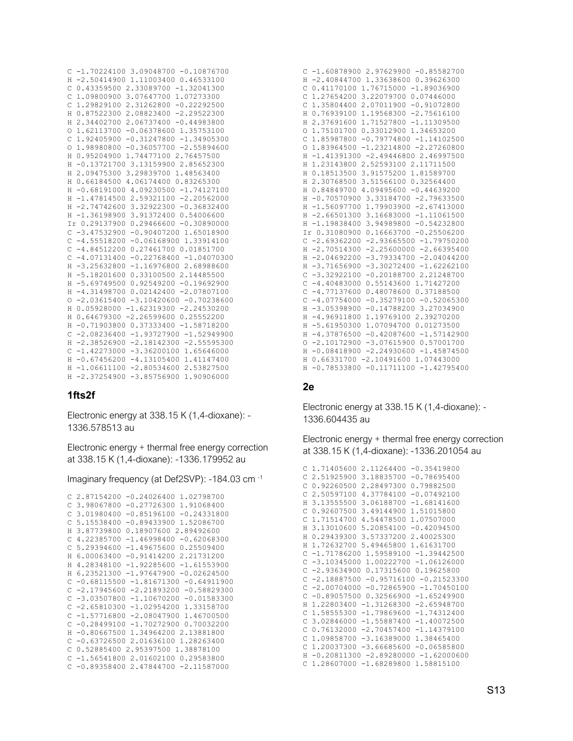```
C -1.70224100 3.09048700 -0.10876700
H -2.50414900 1.11003400 0.46533100
C 0.43359500 2.33089700 -1.32041300
C 1.09800900 3.07647700 1.07273300
C 1.29829100 2.31262800 -0.22292500
H 0.87522300 2.08823400 -2.29522300
H 2.34402700 2.06737400 -0.44983800
O 1.62113700 -0.06378600 1.35753100
C 1.92405900 -0.31247800 -1.34905300
O 1.98980800 -0.36057700 -2.55894600
H 0.95204900 1.74477100 2.76457500
H -0.13721700 3.13159900 2.85652300
H 2.09475300 3.29839700 1.48563400
H 0.66184500 4.06174400 0.83265300
H -0.68191000 4.09230500 -1.74127100
H -1.47814500 2.59321100 -2.20562000
H -2.74742600 3.32922300 -0.36832400
H -1.36198900 3.91372400 0.54006600
Ir 0.29137900 0.29466600 -0.30890000
C -3.47532900 -0.90407200 1.65018900
C -4.55518200 -0.06168900 1.33914100
C -4.84512200 0.27461700 0.01851700
C -4.07131400 -0.22768400 -1.04070300H -3.25632800 -1.16976800 2.68988600
H -5.18201600 0.33100500 2.14485500
H -5.69749500 0.92549200 -0.19692900
H -4.31498700 0.02142400 -2.07807100
0 -2.03615400 -3.10420600 -0.70238600H 0.05928000 -1.62319300 -2.24530200
H 0.64679300 -2.26599600 0.25552200
H -0.71903800 0.37333400 -1.58718200
C -2.08236400 -1.93727900 -1.52949900
H -2.38526900 -2.18142300 -2.55595300
C -1.42273000 -3.36200100 1.65646000
H -0.67456200 -4.13105400 1.41147400
H -1.06611100 -2.80534600 2.53827500
H -2.37254900 -3.85756900 1.90906000
```
## **1fts2f**

Electronic energy at 338.15 K (1,4-dioxane): - 1336.578513 au

Electronic energy + thermal free energy correction at 338.15 K (1,4-dioxane): -1336.179952 au

Imaginary frequency (at Def2SVP): -184.03 cm -1

```
C 2.87154200 -0.24026400 1.02798700
C 3.98067800 -0.27726300 1.91068400
C 3.01980400 -0.85196100 -0.24331800
C 5.15538400 -0.89433900 1.52086700
H 3.87739800 0.18907600 2.89492600
C 4.22385700 -1.46998400 -0.62068300
C 5.29394600 -1.49675600 0.25509400
H 6.00063400 -0.91414200 2.21731200
H 4.28348100 -1.92285600 -1.61553900
H 6.23521300 -1.97647900 -0.02624500
C -0.68115500 -1.81671300 -0.64911900
C -2.17945600 -2.21893200 -0.58829300
C -3.03507800 -1.10670200 -0.01583300
C -2.65810300 -1.02954200 1.33158700
C -1.57716800 -2.08047900 1.46700500
C -0.28499100 -1.70272900 0.70032200
H -0.80667500 1.34964200 2.13881800
C -0.63726500 2.01636100 1.28263400
C 0.52885400 2.95397500 1.38878100
C -1.56541800 2.01602100 0.29583800
C -0.89358400 2.47844700 -2.11587000
```

| $C -1.60878900 2.97629900 -0.85582700$           |
|--------------------------------------------------|
| $-2.40844700$ 1.33638600 0.39626300<br>H         |
| C<br>0.41170100 1.76715000 -1.89036900           |
| 1.27654200 3.22079700 0.07446000<br>C            |
| 1.35804400 2.07011900 -0.91072800<br>C           |
| 0.76939100 1.19568300 -2.75616100<br>Η           |
| H<br>2.37691600 1.71527800 -1.11309500           |
| 1,75101700 0.33012900 1.34653200<br>O            |
| 1.85987800 -0.79774800 -1.14102500<br>C          |
| 1.83964500 -1.23214800 -2.27260800<br>O          |
| $-1.41391300 -2.49446800 2.46997500$<br>H        |
| 1.23143800 2.52593100 2.11711500<br>H            |
| 0.18513500 3.91575200 1.81589700<br>Η            |
| 2.30768500 3.51566100 0.32564400<br>Н            |
| $0.84849700$ 4.09495600 -0.44639200<br>H         |
| $-0.70570900$ 3.33184700 $-2.79633500$<br>H      |
| $-1.56097700$ 1.79903900 $-2.67413000$<br>H      |
| $-2.66501300$ 3.16683000 $-1.11061500$<br>H      |
| H -1.19838400 3.94989800 -0.54232800             |
| Ir 0.31080900 0.16663700 -0.25506200             |
| $C -2.69362200 -2.93665500 -1.79750200$          |
| $-2,70514300 -2,25600000 -2,66395400$<br>H       |
| $-2.04692200 - 3.79334700 - 2.04044200$<br>H     |
| $-3.71656900$<br>$-3.30272400 -1.62262100$<br>H  |
| $-3.32922100 -0.20188700 2.21248700$<br>C        |
| C<br>$-4.40483000$ 0.55143600 1.71427200         |
| C<br>$-4.77137600$<br>0.48078600 0.37188500      |
| $-4.07754000 - 0.35279100 - 0.52065300$<br>C     |
| $-3.05398900 - 0.14788200 3.27034900$<br>H       |
| $-4.96911800$ 1.19769100 2.39270200<br>H         |
| $-5.61950300$ 1.07094700 0.01273500<br>H         |
| $-4.37876500 -0.42087600 -1.57142900$<br>H       |
| $0 - 2.10172900 - 3.07615900 0.57001700$         |
| H -0.08418900 -2.24930600 -1.45874500            |
| $0.66331700 - 2.10491600 1.07443000$<br>H        |
| $-0.11711100 -1.42795400$<br>$-0.78533800$<br>H. |

#### **2e**

Electronic energy at 338.15 K (1,4-dioxane): - 1336.604435 au

Electronic energy + thermal free energy correction at 338.15 K (1,4-dioxane): -1336.201054 au

```
C 1.71405600 2.11264400 -0.35419800
 C 2.51925900 3.18835700 -0.78695400
 C 0.92260500 2.28497300 0.79882500
 C 2.50597100 4.37784100 -0.07492100
H 3.13555500 3.06188700 -1.68141600
C 0.92607500 3.49144900 1.51015800
  C 1.71514700 4.54478500 1.07507000
  H 3.13010600 5.20854100 -0.42094500
  H 0.29439300 3.57337200 2.40025300
  H 1.72632700 5.49465800 1.61631700
  C -1.71786200 1.59589100 -1.39442500
  C -3.10345000 1.00222700 -1.06126000
C -2.93634900 0.17315600 0.19625800
C -2.18887500 -0.95716100 -0.21523300
C -2.00704000 -0.72865900 -1.70450100
C -0.89057500 0.32566900 -1.65249900
H 1.22803400 -1.31268300 -2.65948700
C 1.58555300 -1.79869600 -1.74312400
C 3.02846000 -1.55887400 -1.40072500
C 0.76132000 -2.70457400 -1.14379100
C 1.09858700 -3.16389000 1.38465400
C 1.20037300 -3.66685600 -0.06585800
H -0.20811300 -2.89280000 -1.62000600
 C 1.28607000 -1.68289800 1.58815100
```